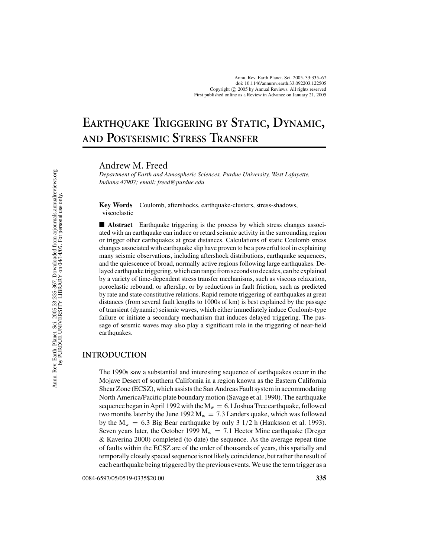# **EARTHQUAKE TRIGGERING BY STATIC, DYNAMIC, AND POSTSEISMIC STRESS TRANSFER**

Andrew M. Freed

*Department of Earth and Atmospheric Sciences, Purdue University, West Lafayette, Indiana 47907; email: freed@purdue.edu*

**Key Words** Coulomb, aftershocks, earthquake-clusters, stress-shadows, viscoelastic

■ **Abstract** Earthquake triggering is the process by which stress changes associated with an earthquake can induce or retard seismic activity in the surrounding region or trigger other earthquakes at great distances. Calculations of static Coulomb stress changes associated with earthquake slip have proven to be a powerful tool in explaining many seismic observations, including aftershock distributions, earthquake sequences, and the quiescence of broad, normally active regions following large earthquakes. Delayed earthquake triggering, which can range from seconds to decades, can be explained by a variety of time-dependent stress transfer mechanisms, such as viscous relaxation, poroelastic rebound, or afterslip, or by reductions in fault friction, such as predicted by rate and state constitutive relations. Rapid remote triggering of earthquakes at great distances (from several fault lengths to 1000s of km) is best explained by the passage of transient (dynamic) seismic waves, which either immediately induce Coulomb-type failure or initiate a secondary mechanism that induces delayed triggering. The passage of seismic waves may also play a significant role in the triggering of near-field earthquakes.

# **INTRODUCTION**

The 1990s saw a substantial and interesting sequence of earthquakes occur in the Mojave Desert of southern California in a region known as the Eastern California Shear Zone (ECSZ), which assists the San Andreas Fault system in accommodating North America/Pacific plate boundary motion (Savage et al. 1990). The earthquake sequence began in April 1992 with the  $M_w = 6.1$  Joshua Tree earthquake, followed two months later by the June 1992  $M_w = 7.3$  Landers quake, which was followed by the  $M_w = 6.3$  Big Bear earthquake by only 3 1/2 h (Hauksson et al. 1993). Seven years later, the October 1999  $M_w = 7.1$  Hector Mine earthquake (Dreger & Kaverina 2000) completed (to date) the sequence. As the average repeat time of faults within the ECSZ are of the order of thousands of years, this spatially and temporally closely spaced sequence is not likely coincidence, but rather the result of each earthquake being triggered by the previous events. We use the term trigger as a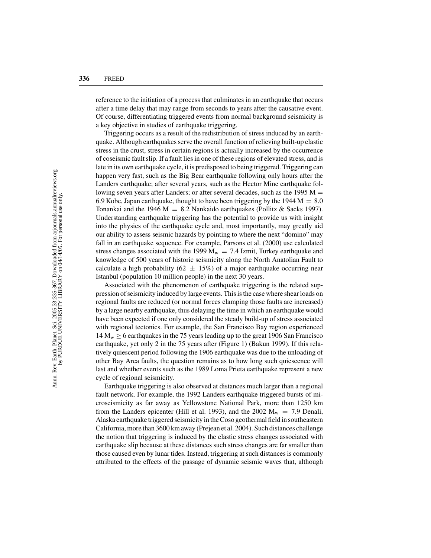reference to the initiation of a process that culminates in an earthquake that occurs after a time delay that may range from seconds to years after the causative event. Of course, differentiating triggered events from normal background seismicity is a key objective in studies of earthquake triggering.

Triggering occurs as a result of the redistribution of stress induced by an earthquake. Although earthquakes serve the overall function of relieving built-up elastic stress in the crust, stress in certain regions is actually increased by the occurrence of coseismic fault slip. If a fault lies in one of these regions of elevated stress, and is late in its own earthquake cycle, it is predisposed to being triggered. Triggering can happen very fast, such as the Big Bear earthquake following only hours after the Landers earthquake; after several years, such as the Hector Mine earthquake following seven years after Landers; or after several decades, such as the 1995  $M =$ 6.9 Kobe, Japan earthquake, thought to have been triggering by the 1944  $M = 8.0$ Tonankai and the 1946 M = 8.2 Nankaido earthquakes (Pollitz & Sacks 1997). Understanding earthquake triggering has the potential to provide us with insight into the physics of the earthquake cycle and, most importantly, may greatly aid our ability to assess seismic hazards by pointing to where the next "domino" may fall in an earthquake sequence. For example, Parsons et al. (2000) use calculated stress changes associated with the 1999  $M_w = 7.4$  Izmit, Turkey earthquake and knowledge of 500 years of historic seismicity along the North Anatolian Fault to calculate a high probability (62  $\pm$  15%) of a major earthquake occurring near Istanbul (population 10 million people) in the next 30 years.

Associated with the phenomenon of earthquake triggering is the related suppression of seismicity induced by large events. This is the case where shear loads on regional faults are reduced (or normal forces clamping those faults are increased) by a large nearby earthquake, thus delaying the time in which an earthquake would have been expected if one only considered the steady build-up of stress associated with regional tectonics. For example, the San Francisco Bay region experienced  $14 M_w \ge 6$  earthquakes in the 75 years leading up to the great 1906 San Francisco earthquake, yet only 2 in the 75 years after (Figure 1) (Bakun 1999). If this relatively quiescent period following the 1906 earthquake was due to the unloading of other Bay Area faults, the question remains as to how long such quiescence will last and whether events such as the 1989 Loma Prieta earthquake represent a new cycle of regional seismicity.

Earthquake triggering is also observed at distances much larger than a regional fault network. For example, the 1992 Landers earthquake triggered bursts of microseismicity as far away as Yellowstone National Park, more than 1250 km from the Landers epicenter (Hill et al. 1993), and the 2002  $M_w = 7.9$  Denali, Alaska earthquake triggered seismicity in the Coso geothermal field in southeastern California, more than 3600 km away (Prejean et al. 2004). Such distances challenge the notion that triggering is induced by the elastic stress changes associated with earthquake slip because at these distances such stress changes are far smaller than those caused even by lunar tides. Instead, triggering at such distances is commonly attributed to the effects of the passage of dynamic seismic waves that, although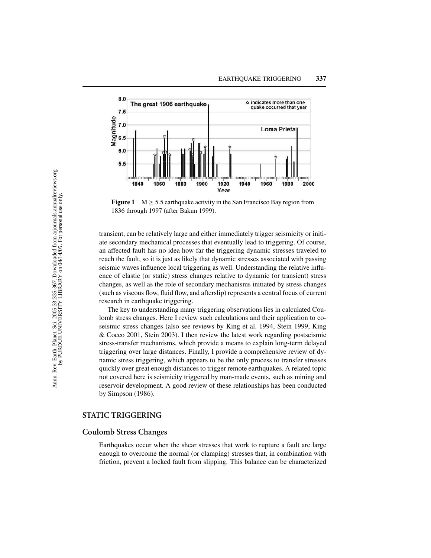

**Figure 1**  $M \geq 5.5$  earthquake activity in the San Francisco Bay region from 1836 through 1997 (after Bakun 1999).

transient, can be relatively large and either immediately trigger seismicity or initiate secondary mechanical processes that eventually lead to triggering. Of course, an affected fault has no idea how far the triggering dynamic stresses traveled to reach the fault, so it is just as likely that dynamic stresses associated with passing seismic waves influence local triggering as well. Understanding the relative influence of elastic (or static) stress changes relative to dynamic (or transient) stress changes, as well as the role of secondary mechanisms initiated by stress changes (such as viscous flow, fluid flow, and afterslip) represents a central focus of current research in earthquake triggering.

The key to understanding many triggering observations lies in calculated Coulomb stress changes. Here I review such calculations and their application to coseismic stress changes (also see reviews by King et al. 1994, Stein 1999, King & Cocco 2001, Stein 2003). I then review the latest work regarding postseismic stress-transfer mechanisms, which provide a means to explain long-term delayed triggering over large distances. Finally, I provide a comprehensive review of dynamic stress triggering, which appears to be the only process to transfer stresses quickly over great enough distances to trigger remote earthquakes. A related topic not covered here is seismicity triggered by man-made events, such as mining and reservoir development. A good review of these relationships has been conducted by Simpson (1986).

## **STATIC TRIGGERING**

## **Coulomb Stress Changes**

Earthquakes occur when the shear stresses that work to rupture a fault are large enough to overcome the normal (or clamping) stresses that, in combination with friction, prevent a locked fault from slipping. This balance can be characterized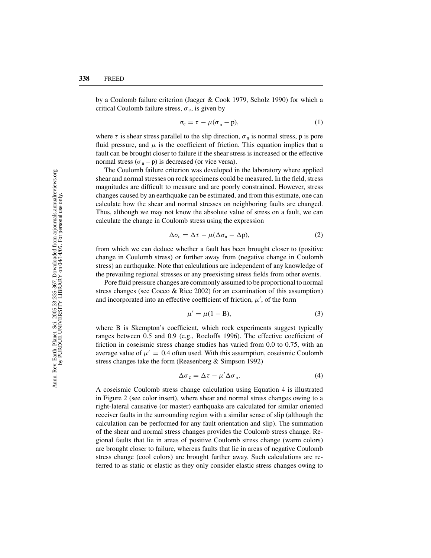by a Coulomb failure criterion (Jaeger & Cook 1979, Scholz 1990) for which a critical Coulomb failure stress,  $\sigma_c$ , is given by

$$
\sigma_{\rm c} = \tau - \mu (\sigma_{\rm n} - \mathbf{p}),\tag{1}
$$

where  $\tau$  is shear stress parallel to the slip direction,  $\sigma_n$  is normal stress, p is pore fluid pressure, and  $\mu$  is the coefficient of friction. This equation implies that a fault can be brought closer to failure if the shear stress is increased or the effective normal stress  $(\sigma_n - p)$  is decreased (or vice versa).

The Coulomb failure criterion was developed in the laboratory where applied shear and normal stresses on rock specimens could be measured. In the field, stress magnitudes are difficult to measure and are poorly constrained. However, stress changes caused by an earthquake can be estimated, and from this estimate, one can calculate how the shear and normal stresses on neighboring faults are changed. Thus, although we may not know the absolute value of stress on a fault, we can calculate the change in Coulomb stress using the expression

$$
\Delta \sigma_c = \Delta \tau - \mu (\Delta \sigma_n - \Delta p), \tag{2}
$$

from which we can deduce whether a fault has been brought closer to (positive change in Coulomb stress) or further away from (negative change in Coulomb stress) an earthquake. Note that calculations are independent of any knowledge of the prevailing regional stresses or any preexisting stress fields from other events.

Pore fluid pressure changes are commonly assumed to be proportional to normal stress changes (see Cocco & Rice 2002) for an examination of this assumption) and incorporated into an effective coefficient of friction,  $\mu'$ , of the form

$$
\mu' = \mu(1 - B),\tag{3}
$$

where B is Skempton's coefficient, which rock experiments suggest typically ranges between 0.5 and 0.9 (e.g., Roeloffs 1996). The effective coefficient of friction in coseismic stress change studies has varied from 0.0 to 0.75, with an average value of  $\mu' = 0.4$  often used. With this assumption, coseismic Coulomb stress changes take the form (Reasenberg & Simpson 1992)

$$
\Delta \sigma_{\rm c} = \Delta \tau - \mu' \Delta \sigma_{\rm n}.
$$
\n(4)

A coseismic Coulomb stress change calculation using Equation 4 is illustrated in Figure 2 (see color insert), where shear and normal stress changes owing to a right-lateral causative (or master) earthquake are calculated for similar oriented receiver faults in the surrounding region with a similar sense of slip (although the calculation can be performed for any fault orientation and slip). The summation of the shear and normal stress changes provides the Coulomb stress change. Regional faults that lie in areas of positive Coulomb stress change (warm colors) are brought closer to failure, whereas faults that lie in areas of negative Coulomb stress change (cool colors) are brought further away. Such calculations are referred to as static or elastic as they only consider elastic stress changes owing to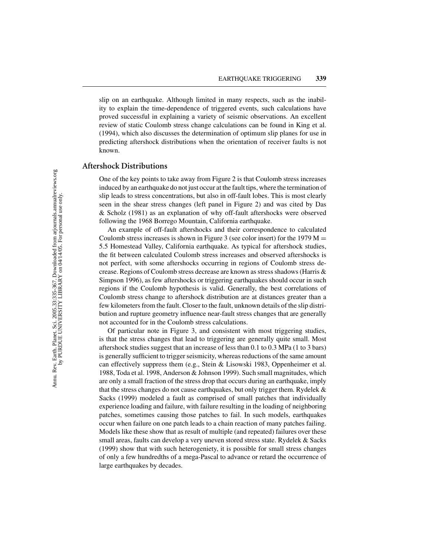slip on an earthquake. Although limited in many respects, such as the inability to explain the time-dependence of triggered events, such calculations have proved successful in explaining a variety of seismic observations. An excellent review of static Coulomb stress change calculations can be found in King et al. (1994), which also discusses the determination of optimum slip planes for use in predicting aftershock distributions when the orientation of receiver faults is not known.

#### **Aftershock Distributions**

One of the key points to take away from Figure 2 is that Coulomb stress increases induced by an earthquake do not just occur at the fault tips, where the termination of slip leads to stress concentrations, but also in off-fault lobes. This is most clearly seen in the shear stress changes (left panel in Figure 2) and was cited by Das & Scholz (1981) as an explanation of why off-fault aftershocks were observed following the 1968 Borrego Mountain, California earthquake.

An example of off-fault aftershocks and their correspondence to calculated Coulomb stress increases is shown in Figure 3 (see color insert) for the 1979  $M =$ 5.5 Homestead Valley, California earthquake. As typical for aftershock studies, the fit between calculated Coulomb stress increases and observed aftershocks is not perfect, with some aftershocks occurring in regions of Coulomb stress decrease. Regions of Coulomb stress decrease are known as stress shadows (Harris & Simpson 1996), as few aftershocks or triggering earthquakes should occur in such regions if the Coulomb hypothesis is valid. Generally, the best correlations of Coulomb stress change to aftershock distribution are at distances greater than a few kilometers from the fault. Closer to the fault, unknown details of the slip distribution and rupture geometry influence near-fault stress changes that are generally not accounted for in the Coulomb stress calculations.

Of particular note in Figure 3, and consistent with most triggering studies, is that the stress changes that lead to triggering are generally quite small. Most aftershock studies suggest that an increase of less than 0.1 to 0.3 MPa (1 to 3 bars) is generally sufficient to trigger seismicity, whereas reductions of the same amount can effectively suppress them (e.g., Stein & Lisowski 1983, Oppenheimer et al. 1988, Toda et al. 1998, Anderson & Johnson 1999). Such small magnitudes, which are only a small fraction of the stress drop that occurs during an earthquake, imply that the stress changes do not cause earthquakes, but only trigger them. Rydelek & Sacks (1999) modeled a fault as comprised of small patches that individually experience loading and failure, with failure resulting in the loading of neighboring patches, sometimes causing those patches to fail. In such models, earthquakes occur when failure on one patch leads to a chain reaction of many patches failing. Models like these show that as result of multiple (and repeated) failures over these small areas, faults can develop a very uneven stored stress state. Rydelek & Sacks (1999) show that with such heterogeniety, it is possible for small stress changes of only a few hundredths of a mega-Pascal to advance or retard the occurrence of large earthquakes by decades.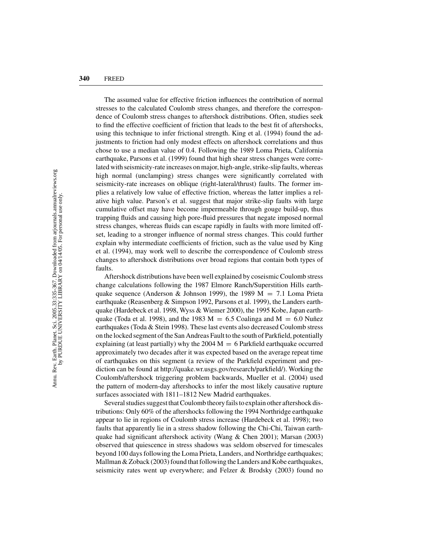The assumed value for effective friction influences the contribution of normal stresses to the calculated Coulomb stress changes, and therefore the correspondence of Coulomb stress changes to aftershock distributions. Often, studies seek to find the effective coefficient of friction that leads to the best fit of aftershocks, using this technique to infer frictional strength. King et al. (1994) found the adjustments to friction had only modest effects on aftershock correlations and thus chose to use a median value of 0.4. Following the 1989 Loma Prieta, California earthquake, Parsons et al. (1999) found that high shear stress changes were correlated with seismicity-rate increases on major, high-angle, strike-slip faults, whereas high normal (unclamping) stress changes were significantly correlated with seismicity-rate increases on oblique (right-lateral/thrust) faults. The former implies a relatively low value of effective friction, whereas the latter implies a relative high value. Parson's et al. suggest that major strike-slip faults with large cumulative offset may have become impermeable through gouge build-up, thus trapping fluids and causing high pore-fluid pressures that negate imposed normal stress changes, whereas fluids can escape rapidly in faults with more limited offset, leading to a stronger influence of normal stress changes. This could further explain why intermediate coefficients of friction, such as the value used by King et al. (1994), may work well to describe the correspondence of Coulomb stress changes to aftershock distributions over broad regions that contain both types of faults.

Aftershock distributions have been well explained by coseismic Coulomb stress change calculations following the 1987 Elmore Ranch/Superstition Hills earthquake sequence (Anderson & Johnson 1999), the 1989  $M = 7.1$  Loma Prieta earthquake (Reasenberg & Simpson 1992, Parsons et al. 1999), the Landers earthquake (Hardebeck et al. 1998, Wyss & Wiemer 2000), the 1995 Kobe, Japan earthquake (Toda et al. 1998), and the 1983  $M = 6.5$  Coalinga and  $M = 6.0$  Nuñez earthquakes (Toda & Stein 1998). These last events also decreased Coulomb stress on the locked segment of the San Andreas Fault to the south of Parkfield, potentially explaining (at least partially) why the  $2004 M = 6$  Parkfield earthquake occurred approximately two decades after it was expected based on the average repeat time of earthquakes on this segment (a review of the Parkfield experiment and prediction can be found at http://quake.wr.usgs.gov/research/parkfield/). Working the Coulomb/aftershock triggering problem backwards, Mueller et al. (2004) used the pattern of modern-day aftershocks to infer the most likely causative rupture surfaces associated with 1811–1812 New Madrid earthquakes.

Several studies suggest that Coulomb theory fails to explain other aftershock distributions: Only 60% of the aftershocks following the 1994 Northridge earthquake appear to lie in regions of Coulomb stress increase (Hardebeck et al. 1998); two faults that apparently lie in a stress shadow following the Chi-Chi, Taiwan earthquake had significant aftershock activity (Wang & Chen 2001); Marsan (2003) observed that quiescence in stress shadows was seldom observed for timescales beyond 100 days following the Loma Prieta, Landers, and Northridge earthquakes; Mallman & Zoback (2003) found that following the Landers and Kobe earthquakes, seismicity rates went up everywhere; and Felzer & Brodsky (2003) found no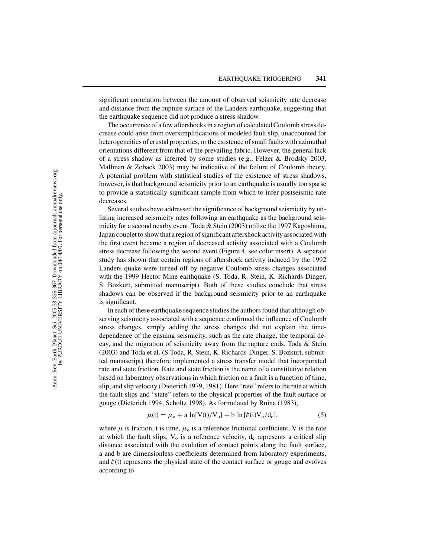significant correlation between the amount of observed seismicity rate decrease and distance from the rupture surface of the Landers earthquake, suggesting that the earthquake sequence did not produce a stress shadow.

The occurrence of a few aftershocks in a region of calculated Coulomb stress decrease could arise from oversimplifications of modeled fault slip, unaccounted for heterogeneities of crustal properties, or the existence of small faults with azimuthal orientations different from that of the prevailing fabric. However, the general lack of a stress shadow as inferred by some studies (e.g., Felzer & Brodsky 2003, Mallman & Zoback 2003) may be indicative of the failure of Coulomb theory. A potential problem with statistical studies of the existence of stress shadows, however, is that background seismicity prior to an earthquake is usually too sparse to provide a statistically significant sample from which to infer postseismic rate decreases.

Several studies have addressed the significance of background seismicity by utilizing increased seismicity rates following an earthquake as the background seismicity for a second nearby event. Toda & Stein (2003) utilize the 1997 Kagoshima, Japan couplet to show that a region of significant aftershock activity associated with the first event became a region of decreased activity associated with a Coulomb stress decrease following the second event (Figure 4, see color insert). A separate study has shown that certain regions of aftershock activity induced by the 1992 Landers quake were turned off by negative Coulomb stress changes associated with the 1999 Hector Mine earthquake (S. Toda, R. Stein, K. Richards-Dinger, S. Bozkurt, submitted manuscript). Both of these studies conclude that stress shadows can be observed if the background seismicity prior to an earthquake is significant.

In each of these earthquake sequence studies the authors found that although observing seismicity associated with a sequence confirmed the influence of Coulomb stress changes, simply adding the stress changes did not explain the timedependence of the ensuing seismicity, such as the rate change, the temporal decay, and the migration of seismicity away from the rupture ends. Toda & Stein (2003) and Toda et al. (S.Toda, R. Stein, K. Richards-Dinger, S. Bozkurt, submitted manuscript) therefore implemented a stress transfer model that incorporated rate and state friction. Rate and state friction is the name of a constitutive relation based on laboratory observations in which friction on a fault is a function of time, slip, and slip velocity (Dieterich 1979, 1981). Here "rate" refers to the rate at which the fault slips and "state" refers to the physical properties of the fault surface or gouge (Dieterich 1994, Scholtz 1998). As formulated by Ruina (1983),

$$
\mu(t) = \mu_0 + a \ln[V(t)/V_0] + b \ln[\xi(t)V_0/d_c],
$$
\n(5)

where  $\mu$  is friction, t is time,  $\mu_0$  is a reference frictional coefficient, V is the rate at which the fault slips,  $V_0$  is a reference velocity,  $d_c$  represents a critical slip distance associated with the evolution of contact points along the fault surface, a and b are dimensionless coefficients determined from laboratory experiments, and  $\xi(t)$  represents the physical state of the contact surface or gouge and evolves according to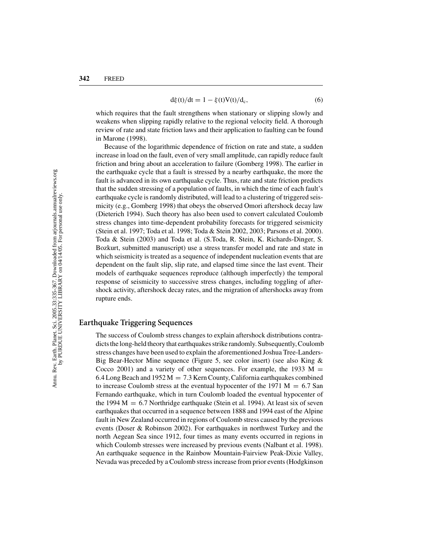$$
d\xi(t)/dt = 1 - \xi(t)V(t)/d_c,
$$
\n(6)

which requires that the fault strengthens when stationary or slipping slowly and weakens when slipping rapidly relative to the regional velocity field. A thorough review of rate and state friction laws and their application to faulting can be found in Marone (1998).

Because of the logarithmic dependence of friction on rate and state, a sudden increase in load on the fault, even of very small amplitude, can rapidly reduce fault friction and bring about an acceleration to failure (Gomberg 1998). The earlier in the earthquake cycle that a fault is stressed by a nearby earthquake, the more the fault is advanced in its own earthquake cycle. Thus, rate and state friction predicts that the sudden stressing of a population of faults, in which the time of each fault's earthquake cycle is randomly distributed, will lead to a clustering of triggered seismicity (e.g., Gomberg 1998) that obeys the observed Omori aftershock decay law (Dieterich 1994). Such theory has also been used to convert calculated Coulomb stress changes into time-dependent probability forecasts for triggered seismicity (Stein et al. 1997; Toda et al. 1998; Toda & Stein 2002, 2003; Parsons et al. 2000). Toda & Stein (2003) and Toda et al. (S.Toda, R. Stein, K. Richards-Dinger, S. Bozkurt, submitted manuscript) use a stress transfer model and rate and state in which seismicity is treated as a sequence of independent nucleation events that are dependent on the fault slip, slip rate, and elapsed time since the last event. Their models of earthquake sequences reproduce (although imperfectly) the temporal response of seismicity to successive stress changes, including toggling of aftershock activity, aftershock decay rates, and the migration of aftershocks away from rupture ends.

## **Earthquake Triggering Sequences**

The success of Coulomb stress changes to explain aftershock distributions contradicts the long-held theory that earthquakes strike randomly. Subsequently, Coulomb stress changes have been used to explain the aforementioned Joshua Tree-Landers-Big Bear-Hector Mine sequence (Figure 5, see color insert) (see also King & Cocco 2001) and a variety of other sequences. For example, the 1933  $M =$ 6.4 Long Beach and 1952 M = 7.3 Kern County, California earthquakes combined to increase Coulomb stress at the eventual hypocenter of the 1971  $M = 6.7$  San Fernando earthquake, which in turn Coulomb loaded the eventual hypocenter of the 1994  $M = 6.7$  Northridge earthquake (Stein et al. 1994). At least six of seven earthquakes that occurred in a sequence between 1888 and 1994 east of the Alpine fault in New Zealand occurred in regions of Coulomb stress caused by the previous events (Doser & Robinson 2002). For earthquakes in northwest Turkey and the north Aegean Sea since 1912, four times as many events occurred in regions in which Coulomb stresses were increased by previous events (Nalbant et al. 1998). An earthquake sequence in the Rainbow Mountain-Fairview Peak-Dixie Valley, Nevada was preceded by a Coulomb stress increase from prior events (Hodgkinson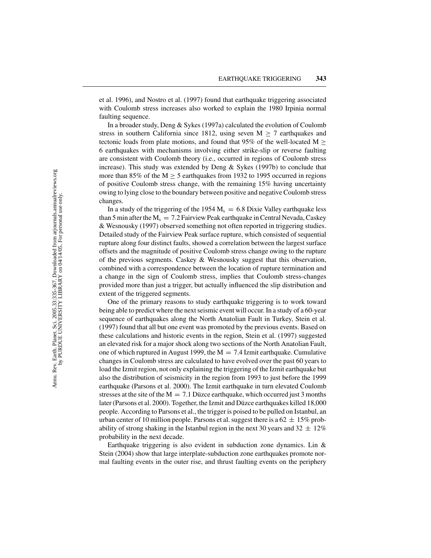et al. 1996), and Nostro et al. (1997) found that earthquake triggering associated with Coulomb stress increases also worked to explain the 1980 Irpinia normal faulting sequence.

In a broader study, Deng & Sykes (1997a) calculated the evolution of Coulomb stress in southern California since 1812, using seven  $M > 7$  earthquakes and tectonic loads from plate motions, and found that 95% of the well-located M  $\geq$ 6 earthquakes with mechanisms involving either strike-slip or reverse faulting are consistent with Coulomb theory (i.e., occurred in regions of Coulomb stress increase). This study was extended by Deng & Sykes (1997b) to conclude that more than 85% of the M  $\geq$  5 earthquakes from 1932 to 1995 occurred in regions of positive Coulomb stress change, with the remaining 15% having uncertainty owing to lying close to the boundary between positive and negative Coulomb stress changes.

In a study of the triggering of the 1954  $M_s = 6.8$  Dixie Valley earthquake less than 5 min after the  $M_s = 7.2$  Fairview Peak earthquake in Central Nevada, Caskey & Wesnousky (1997) observed something not often reported in triggering studies. Detailed study of the Fairview Peak surface rupture, which consisted of sequential rupture along four distinct faults, showed a correlation between the largest surface offsets and the magnitude of positive Coulomb stress change owing to the rupture of the previous segments. Caskey & Wesnousky suggest that this observation, combined with a correspondence between the location of rupture termination and a change in the sign of Coulomb stress, implies that Coulomb stress-changes provided more than just a trigger, but actually influenced the slip distribution and extent of the triggered segments.

One of the primary reasons to study earthquake triggering is to work toward being able to predict where the next seismic event will occur. In a study of a 60-year sequence of earthquakes along the North Anatolian Fault in Turkey, Stein et al. (1997) found that all but one event was promoted by the previous events. Based on these calculations and historic events in the region, Stein et al. (1997) suggested an elevated risk for a major shock along two sections of the North Anatolian Fault, one of which ruptured in August 1999, the  $M = 7.4$  Izmit earthquake. Cumulative changes in Coulomb stress are calculated to have evolved over the past 60 years to load the Izmit region, not only explaining the triggering of the Izmit earthquake but also the distribution of seismicity in the region from 1993 to just before the 1999 earthquake (Parsons et al. 2000). The Izmit earthquake in turn elevated Coulomb stresses at the site of the  $M = 7.1$  Düzce earthquake, which occurred just 3 months later (Parsons et al. 2000). Together, the Izmit and Düzce earthquakes killed 18,000 people. According to Parsons et al., the trigger is poised to be pulled on Istanbul, an urban center of 10 million people. Parsons et al. suggest there is a  $62 \pm 15\%$  probability of strong shaking in the Istanbul region in the next 30 years and  $32 \pm 12\%$ probability in the next decade.

Earthquake triggering is also evident in subduction zone dynamics. Lin & Stein (2004) show that large interplate-subduction zone earthquakes promote normal faulting events in the outer rise, and thrust faulting events on the periphery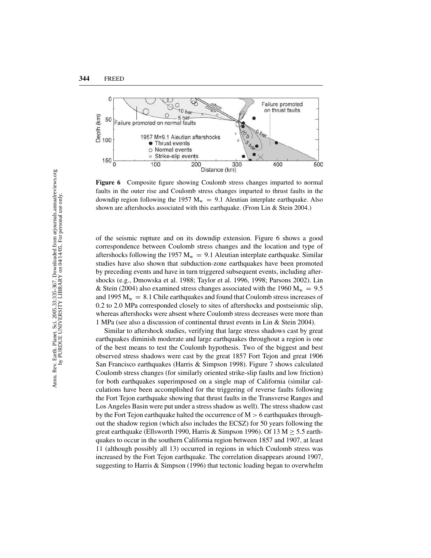

**Figure 6** Composite figure showing Coulomb stress changes imparted to normal faults in the outer rise and Coulomb stress changes imparted to thrust faults in the downdip region following the 1957  $M_w = 9.1$  Aleutian interplate earthquake. Also shown are aftershocks associated with this earthquake. (From Lin & Stein 2004.)

of the seismic rupture and on its downdip extension. Figure 6 shows a good correspondence between Coulomb stress changes and the location and type of aftershocks following the 1957  $M_w = 9.1$  Aleutian interplate earthquake. Similar studies have also shown that subduction-zone earthquakes have been promoted by preceding events and have in turn triggered subsequent events, including aftershocks (e.g., Dmowska et al. 1988; Taylor et al. 1996, 1998; Parsons 2002). Lin & Stein (2004) also examined stress changes associated with the 1960  $M_w = 9.5$ and 1995  $M_w = 8.1$  Chile earthquakes and found that Coulomb stress increases of 0.2 to 2.0 MPa corresponded closely to sites of aftershocks and postseismic slip, whereas aftershocks were absent where Coulomb stress decreases were more than 1 MPa (see also a discussion of continental thrust events in Lin & Stein 2004).

Similar to aftershock studies, verifying that large stress shadows cast by great earthquakes diminish moderate and large earthquakes throughout a region is one of the best means to test the Coulomb hypothesis. Two of the biggest and best observed stress shadows were cast by the great 1857 Fort Tejon and great 1906 San Francisco earthquakes (Harris & Simpson 1998). Figure 7 shows calculated Coulomb stress changes (for similarly oriented strike-slip faults and low friction) for both earthquakes superimposed on a single map of California (similar calculations have been accomplished for the triggering of reverse faults following the Fort Tejon earthquake showing that thrust faults in the Transverse Ranges and Los Angeles Basin were put under a stress shadow as well). The stress shadow cast by the Fort Tejon earthquake halted the occurrence of  $M > 6$  earthquakes throughout the shadow region (which also includes the ECSZ) for 50 years following the great earthquake (Ellsworth 1990, Harris & Simpson 1996). Of 13 M  $\geq$  5.5 earthquakes to occur in the southern California region between 1857 and 1907, at least 11 (although possibly all 13) occurred in regions in which Coulomb stress was increased by the Fort Tejon earthquake. The correlation disappears around 1907, suggesting to Harris & Simpson (1996) that tectonic loading began to overwhelm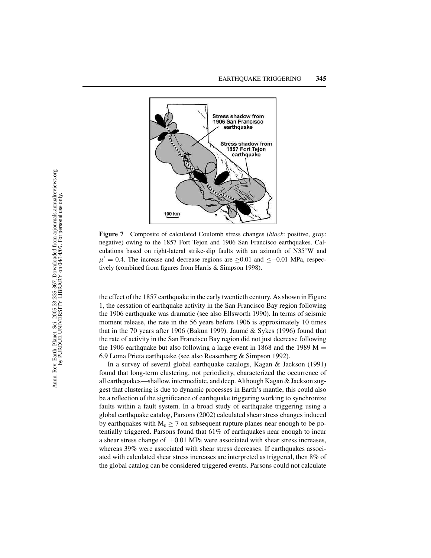

**Figure 7** Composite of calculated Coulomb stress changes (*black*: positive, *gray*: negative) owing to the 1857 Fort Tejon and 1906 San Francisco earthquakes. Calculations based on right-lateral strike-slip faults with an azimuth of N35◦W and  $\mu' = 0.4$ . The increase and decrease regions are ≥0.01 and ≤−0.01 MPa, respectively (combined from figures from Harris & Simpson 1998).

the effect of the 1857 earthquake in the early twentieth century. As shown in Figure 1, the cessation of earthquake activity in the San Francisco Bay region following the 1906 earthquake was dramatic (see also Ellsworth 1990). In terms of seismic moment release, the rate in the 56 years before 1906 is approximately 10 times that in the 70 years after 1906 (Bakun 1999). Jaumé  $&$  Sykes (1996) found that the rate of activity in the San Francisco Bay region did not just decrease following the 1906 earthquake but also following a large event in 1868 and the 1989  $M =$ 6.9 Loma Prieta earthquake (see also Reasenberg & Simpson 1992).

In a survey of several global earthquake catalogs, Kagan & Jackson (1991) found that long-term clustering, not periodicity, characterized the occurrence of all earthquakes—shallow, intermediate, and deep. Although Kagan & Jackson suggest that clustering is due to dynamic processes in Earth's mantle, this could also be a reflection of the significance of earthquake triggering working to synchronize faults within a fault system. In a broad study of earthquake triggering using a global earthquake catalog, Parsons (2002) calculated shear stress changes induced by earthquakes with  $M_s \ge 7$  on subsequent rupture planes near enough to be potentially triggered. Parsons found that 61% of earthquakes near enough to incur a shear stress change of  $\pm 0.01$  MPa were associated with shear stress increases, whereas 39% were associated with shear stress decreases. If earthquakes associated with calculated shear stress increases are interpreted as triggered, then 8% of the global catalog can be considered triggered events. Parsons could not calculate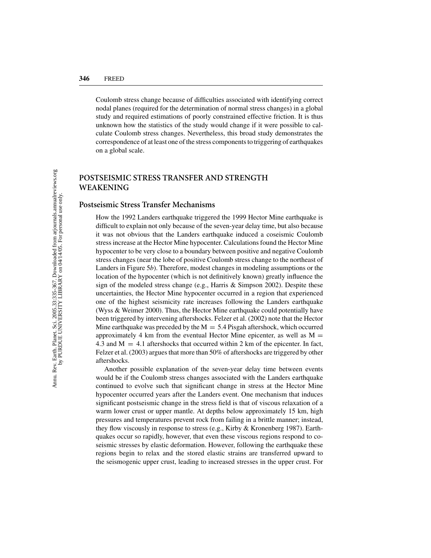Coulomb stress change because of difficulties associated with identifying correct nodal planes (required for the determination of normal stress changes) in a global study and required estimations of poorly constrained effective friction. It is thus unknown how the statistics of the study would change if it were possible to calculate Coulomb stress changes. Nevertheless, this broad study demonstrates the correspondence of at least one of the stress components to triggering of earthquakes on a global scale.

# **POSTSEISMIC STRESS TRANSFER AND STRENGTH WEAKENING**

#### **Postseismic Stress Transfer Mechanisms**

How the 1992 Landers earthquake triggered the 1999 Hector Mine earthquake is difficult to explain not only because of the seven-year delay time, but also because it was not obvious that the Landers earthquake induced a coseismic Coulomb stress increase at the Hector Mine hypocenter. Calculations found the Hector Mine hypocenter to be very close to a boundary between positive and negative Coulomb stress changes (near the lobe of positive Coulomb stress change to the northeast of Landers in Figure 5*b*). Therefore, modest changes in modeling assumptions or the location of the hypocenter (which is not definitively known) greatly influence the sign of the modeled stress change (e.g., Harris & Simpson 2002). Despite these uncertainties, the Hector Mine hypocenter occurred in a region that experienced one of the highest seismicity rate increases following the Landers earthquake (Wyss & Weimer 2000). Thus, the Hector Mine earthquake could potentially have been triggered by intervening aftershocks. Felzer et al. (2002) note that the Hector Mine earthquake was preceded by the  $M = 5.4$  Pisgah aftershock, which occurred approximately 4 km from the eventual Hector Mine epicenter, as well as  $M =$ 4.3 and  $M = 4.1$  aftershocks that occurred within 2 km of the epicenter. In fact, Felzer et al. (2003) argues that more than 50% of aftershocks are triggered by other aftershocks.

Another possible explanation of the seven-year delay time between events would be if the Coulomb stress changes associated with the Landers earthquake continued to evolve such that significant change in stress at the Hector Mine hypocenter occurred years after the Landers event. One mechanism that induces significant postseismic change in the stress field is that of viscous relaxation of a warm lower crust or upper mantle. At depths below approximately 15 km, high pressures and temperatures prevent rock from failing in a brittle manner; instead, they flow viscously in response to stress (e.g., Kirby & Kronenberg 1987). Earthquakes occur so rapidly, however, that even these viscous regions respond to coseismic stresses by elastic deformation. However, following the earthquake these regions begin to relax and the stored elastic strains are transferred upward to the seismogenic upper crust, leading to increased stresses in the upper crust. For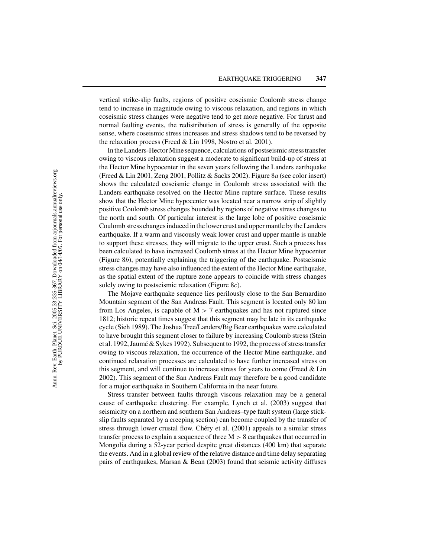vertical strike-slip faults, regions of positive coseismic Coulomb stress change tend to increase in magnitude owing to viscous relaxation, and regions in which coseismic stress changes were negative tend to get more negative. For thrust and normal faulting events, the redistribution of stress is generally of the opposite sense, where coseismic stress increases and stress shadows tend to be reversed by the relaxation process (Freed & Lin 1998, Nostro et al. 2001).

In the Landers-Hector Mine sequence, calculations of postseismic stress transfer owing to viscous relaxation suggest a moderate to significant build-up of stress at the Hector Mine hypocenter in the seven years following the Landers earthquake (Freed & Lin 2001, Zeng 2001, Pollitz & Sacks 2002). Figure 8*a* (see color insert) shows the calculated coseismic change in Coulomb stress associated with the Landers earthquake resolved on the Hector Mine rupture surface. These results show that the Hector Mine hypocenter was located near a narrow strip of slightly positive Coulomb stress changes bounded by regions of negative stress changes to the north and south. Of particular interest is the large lobe of positive coseismic Coulomb stress changes induced in the lower crust and upper mantle by the Landers earthquake. If a warm and viscously weak lower crust and upper mantle is unable to support these stresses, they will migrate to the upper crust. Such a process has been calculated to have increased Coulomb stress at the Hector Mine hypocenter (Figure 8*b*), potentially explaining the triggering of the earthquake. Postseismic stress changes may have also influenced the extent of the Hector Mine earthquake, as the spatial extent of the rupture zone appears to coincide with stress changes solely owing to postseismic relaxation (Figure 8*c*).

The Mojave earthquake sequence lies perilously close to the San Bernardino Mountain segment of the San Andreas Fault. This segment is located only 80 km from Los Angeles, is capable of  $M > 7$  earthquakes and has not ruptured since 1812; historic repeat times suggest that this segment may be late in its earthquake cycle (Sieh 1989). The Joshua Tree/Landers/Big Bear earthquakes were calculated to have brought this segment closer to failure by increasing Coulomb stress (Stein et al. 1992, Jaumé & Sykes 1992). Subsequent to 1992, the process of stress transfer owing to viscous relaxation, the occurrence of the Hector Mine earthquake, and continued relaxation processes are calculated to have further increased stress on this segment, and will continue to increase stress for years to come (Freed & Lin 2002). This segment of the San Andreas Fault may therefore be a good candidate for a major earthquake in Southern California in the near future.

Stress transfer between faults through viscous relaxation may be a general cause of earthquake clustering. For example, Lynch et al. (2003) suggest that seismicity on a northern and southern San Andreas–type fault system (large stickslip faults separated by a creeping section) can become coupled by the transfer of stress through lower crustal flow. Chéry et al. (2001) appeals to a similar stress transfer process to explain a sequence of three  $M > 8$  earthquakes that occurred in Mongolia during a 52-year period despite great distances (400 km) that separate the events. And in a global review of the relative distance and time delay separating pairs of earthquakes, Marsan & Bean (2003) found that seismic activity diffuses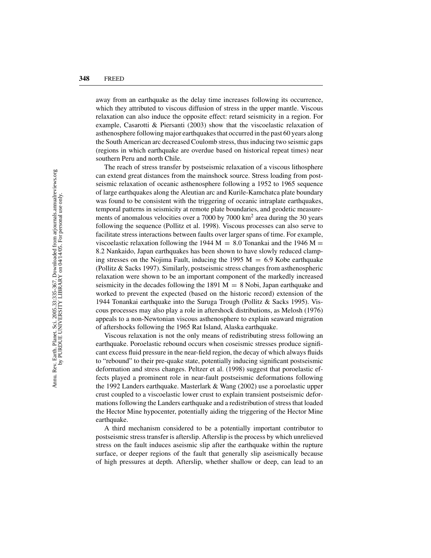away from an earthquake as the delay time increases following its occurrence, which they attributed to viscous diffusion of stress in the upper mantle. Viscous relaxation can also induce the opposite effect: retard seismicity in a region. For example, Casarotti & Piersanti (2003) show that the viscoelastic relaxation of asthenosphere following major earthquakes that occurred in the past 60 years along the South American arc decreased Coulomb stress, thus inducing two seismic gaps (regions in which earthquake are overdue based on historical repeat times) near southern Peru and north Chile.

The reach of stress transfer by postseismic relaxation of a viscous lithosphere can extend great distances from the mainshock source. Stress loading from postseismic relaxation of oceanic asthenosphere following a 1952 to 1965 sequence of large earthquakes along the Aleutian arc and Kurile-Kamchatca plate boundary was found to be consistent with the triggering of oceanic intraplate earthquakes, temporal patterns in seismicity at remote plate boundaries, and geodetic measurements of anomalous velocities over a 7000 by 7000 km<sup>2</sup> area during the 30 years following the sequence (Pollitz et al. 1998). Viscous processes can also serve to facilitate stress interactions between faults over larger spans of time. For example, viscoelastic relaxation following the 1944  $M = 8.0$  Tonankai and the 1946 M = 8.2 Nankaido, Japan earthquakes has been shown to have slowly reduced clamping stresses on the Nojima Fault, inducing the 1995  $M = 6.9$  Kobe earthquake (Pollitz & Sacks 1997). Similarly, postseismic stress changes from asthenospheric relaxation were shown to be an important component of the markedly increased seismicity in the decades following the 1891  $M = 8$  Nobi, Japan earthquake and worked to prevent the expected (based on the historic record) extension of the 1944 Tonankai earthquake into the Suruga Trough (Pollitz & Sacks 1995). Viscous processes may also play a role in aftershock distributions, as Melosh (1976) appeals to a non-Newtonian viscous asthenosphere to explain seaward migration of aftershocks following the 1965 Rat Island, Alaska earthquake.

Viscous relaxation is not the only means of redistributing stress following an earthquake. Poroelastic rebound occurs when coseismic stresses produce significant excess fluid pressure in the near-field region, the decay of which always fluids to "rebound" to their pre-quake state, potentially inducing significant postseismic deformation and stress changes. Peltzer et al. (1998) suggest that poroelastic effects played a prominent role in near-fault postseismic deformations following the 1992 Landers earthquake. Masterlark & Wang (2002) use a poroelastic upper crust coupled to a viscoelastic lower crust to explain transient postseismic deformations following the Landers earthquake and a redistribution of stress that loaded the Hector Mine hypocenter, potentially aiding the triggering of the Hector Mine earthquake.

A third mechanism considered to be a potentially important contributor to postseismic stress transfer is afterslip. Afterslip is the process by which unrelieved stress on the fault induces aseismic slip after the earthquake within the rupture surface, or deeper regions of the fault that generally slip aseismically because of high pressures at depth. Afterslip, whether shallow or deep, can lead to an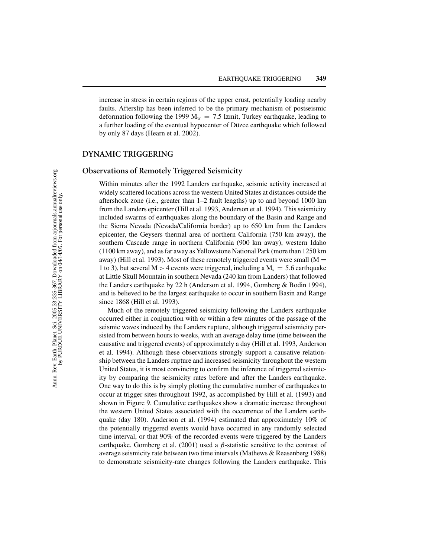increase in stress in certain regions of the upper crust, potentially loading nearby faults. Afterslip has been inferred to be the primary mechanism of postseismic deformation following the 1999  $M_w = 7.5$  Izmit, Turkey earthquake, leading to a further loading of the eventual hypocenter of Düzce earthquake which followed by only 87 days (Hearn et al. 2002).

#### **DYNAMIC TRIGGERING**

# **Observations of Remotely Triggered Seismicity**

Within minutes after the 1992 Landers earthquake, seismic activity increased at widely scattered locations across the western United States at distances outside the aftershock zone (i.e., greater than 1–2 fault lengths) up to and beyond 1000 km from the Landers epicenter (Hill et al. 1993, Anderson et al. 1994). This seismicity included swarms of earthquakes along the boundary of the Basin and Range and the Sierra Nevada (Nevada/California border) up to 650 km from the Landers epicenter, the Geysers thermal area of northern California (750 km away), the southern Cascade range in northern California (900 km away), western Idaho (1100 km away), and as far away as Yellowstone National Park (more than 1250 km away) (Hill et al. 1993). Most of these remotely triggered events were small ( $M =$ 1 to 3), but several M > 4 events were triggered, including a  $M_s = 5.6$  earthquake at Little Skull Mountain in southern Nevada (240 km from Landers) that followed the Landers earthquake by 22 h (Anderson et al. 1994, Gomberg & Bodin 1994), and is believed to be the largest earthquake to occur in southern Basin and Range since 1868 (Hill et al. 1993).

Much of the remotely triggered seismicity following the Landers earthquake occurred either in conjunction with or within a few minutes of the passage of the seismic waves induced by the Landers rupture, although triggered seismicity persisted from between hours to weeks, with an average delay time (time between the causative and triggered events) of approximately a day (Hill et al. 1993, Anderson et al. 1994). Although these observations strongly support a causative relationship between the Landers rupture and increased seismicity throughout the western United States, it is most convincing to confirm the inference of triggered seismicity by comparing the seismicity rates before and after the Landers earthquake. One way to do this is by simply plotting the cumulative number of earthquakes to occur at trigger sites throughout 1992, as accomplished by Hill et al. (1993) and shown in Figure 9. Cumulative earthquakes show a dramatic increase throughout the western United States associated with the occurrence of the Landers earthquake (day 180). Anderson et al. (1994) estimated that approximately 10% of the potentially triggered events would have occurred in any randomly selected time interval, or that 90% of the recorded events were triggered by the Landers earthquake. Gomberg et al. (2001) used a  $\beta$ -statistic sensitive to the contrast of average seismicity rate between two time intervals (Mathews & Reasenberg 1988) to demonstrate seismicity-rate changes following the Landers earthquake. This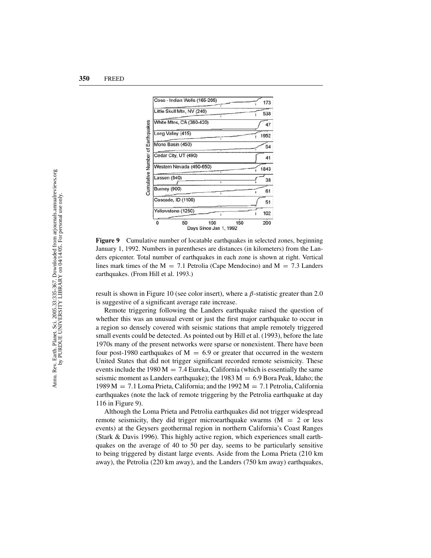

**Figure 9** Cumulative number of locatable earthquakes in selected zones, beginning January 1, 1992. Numbers in parentheses are distances (in kilometers) from the Landers epicenter. Total number of earthquakes in each zone is shown at right. Vertical lines mark times of the  $M = 7.1$  Petrolia (Cape Mendocino) and  $M = 7.3$  Landers earthquakes. (From Hill et al. 1993.)

result is shown in Figure 10 (see color insert), where a  $\beta$ -statistic greater than 2.0 is suggestive of a significant average rate increase.

Remote triggering following the Landers earthquake raised the question of whether this was an unusual event or just the first major earthquake to occur in a region so densely covered with seismic stations that ample remotely triggered small events could be detected. As pointed out by Hill et al. (1993), before the late 1970s many of the present networks were sparse or nonexistent. There have been four post-1980 earthquakes of  $M = 6.9$  or greater that occurred in the western United States that did not trigger significant recorded remote seismicity. These events include the 1980 M = 7.4 Eureka, California (which is essentially the same seismic moment as Landers earthquake); the 1983  $M = 6.9$  Bora Peak, Idaho; the 1989 M  $= 7.1$  Loma Prieta, California; and the 1992 M  $= 7.1$  Petrolia, California earthquakes (note the lack of remote triggering by the Petrolia earthquake at day 116 in Figure 9).

Although the Loma Prieta and Petrolia earthquakes did not trigger widespread remote seismicity, they did trigger microearthquake swarms  $(M = 2 \text{ or } \text{less})$ events) at the Geysers geothermal region in northern California's Coast Ranges (Stark & Davis 1996). This highly active region, which experiences small earthquakes on the average of 40 to 50 per day, seems to be particularly sensitive to being triggered by distant large events. Aside from the Loma Prieta (210 km away), the Petrolia (220 km away), and the Landers (750 km away) earthquakes,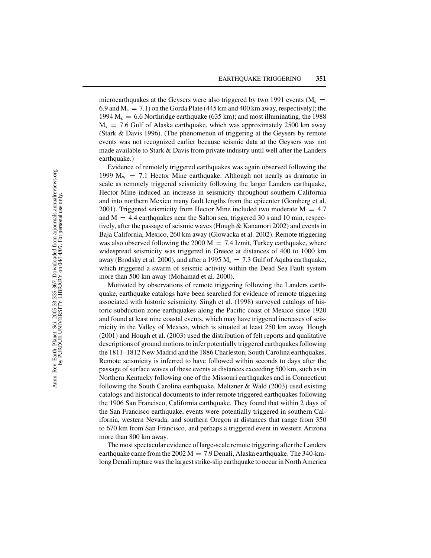microearthquakes at the Geysers were also triggered by two 1991 events ( $M_s$  = 6.9 and  $M_s = 7.1$ ) on the Gorda Plate (445 km and 400 km away, respectively); the 1994  $M_s = 6.6$  Northridge earthquake (635 km); and most illuminating, the 1988  $M_s = 7.6$  Gulf of Alaska earthquake, which was approximately 2500 km away (Stark & Davis 1996). (The phenomenon of triggering at the Geysers by remote events was not recognized earlier because seismic data at the Geysers was not made available to Stark & Davis from private industry until well after the Landers earthquake.)

Evidence of remotely triggered earthquakes was again observed following the 1999  $M_w$  = 7.1 Hector Mine earthquake. Although not nearly as dramatic in scale as remotely triggered seismicity following the larger Landers earthquake, Hector Mine induced an increase in seismicity throughout southern California and into northern Mexico many fault lengths from the epicenter (Gomberg et al. 2001). Triggered seismicity from Hector Mine included two moderate  $M = 4.7$ and  $M = 4.4$  earthquakes near the Salton sea, triggered 30 s and 10 min, respectively, after the passage of seismic waves (Hough & Kanamori 2002) and events in Baja California, Mexico, 260 km away (Glowacka et al. 2002). Remote triggering was also observed following the 2000  $M = 7.4$  Izmit, Turkey earthquake, where widespread seismicity was triggered in Greece at distances of 400 to 1000 km away (Brodsky et al. 2000), and after a 1995  $M_s = 7.3$  Gulf of Aqaba earthquake, which triggered a swarm of seismic activity within the Dead Sea Fault system more than 500 km away (Mohamad et al. 2000).

Motivated by observations of remote triggering following the Landers earthquake, earthquake catalogs have been searched for evidence of remote triggering associated with historic seismicity. Singh et al. (1998) surveyed catalogs of historic subduction zone earthquakes along the Pacific coast of Mexico since 1920 and found at least nine coastal events, which may have triggered increases of seismicity in the Valley of Mexico, which is situated at least 250 km away. Hough (2001) and Hough et al. (2003) used the distribution of felt reports and qualitative descriptions of ground motions to infer potentially triggered earthquakes following the 1811–1812 New Madrid and the 1886 Charleston, South Carolina earthquakes. Remote seismicity is inferred to have followed within seconds to days after the passage of surface waves of these events at distances exceeding 500 km, such as in Northern Kentucky following one of the Missouri earthquakes and in Connecticut following the South Carolina earthquake. Meltzner & Wald (2003) used existing catalogs and historical documents to infer remote triggered earthquakes following the 1906 San Francisco, California earthquake. They found that within 2 days of the San Francisco earthquake, events were potentially triggered in southern California, western Nevada, and southern Oregon at distances that range from 350 to 670 km from San Francisco, and perhaps a triggered event in western Arizona more than 800 km away.

The most spectacular evidence of large-scale remote triggering after the Landers earthquake came from the  $2002 \text{ M} = 7.9 \text{ Denali}$ , Alaska earthquake. The 340-kmlong Denali rupture was the largest strike-slip earthquake to occur in North America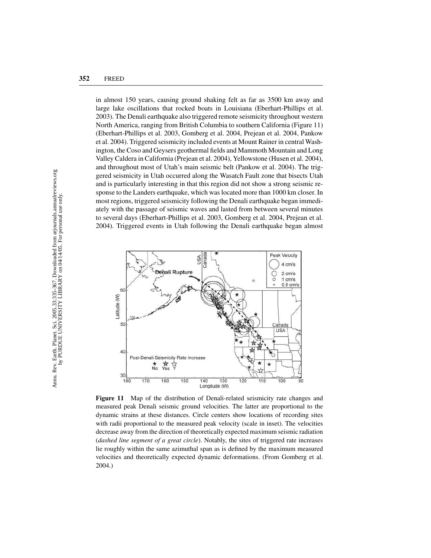in almost 150 years, causing ground shaking felt as far as 3500 km away and large lake oscillations that rocked boats in Louisiana (Eberhart-Phillips et al. 2003). The Denali earthquake also triggered remote seismicity throughout western North America, ranging from British Columbia to southern California (Figure 11) (Eberhart-Phillips et al. 2003, Gomberg et al. 2004, Prejean et al. 2004, Pankow et al. 2004). Triggered seismicity included events at Mount Rainer in central Washington, the Coso and Geysers geothermal fields and Mammoth Mountain and Long Valley Caldera in California (Prejean et al. 2004), Yellowstone (Husen et al. 2004), and throughout most of Utah's main seismic belt (Pankow et al. 2004). The triggered seismicity in Utah occurred along the Wasatch Fault zone that bisects Utah and is particularly interesting in that this region did not show a strong seismic response to the Landers earthquake, which was located more than 1000 km closer. In most regions, triggered seismicity following the Denali earthquake began immediately with the passage of seismic waves and lasted from between several minutes to several days (Eberhart-Phillips et al. 2003, Gomberg et al. 2004, Prejean et al. 2004). Triggered events in Utah following the Denali earthquake began almost



**Figure 11** Map of the distribution of Denali-related seismicity rate changes and measured peak Denali seismic ground velocities. The latter are proportional to the dynamic strains at these distances. Circle centers show locations of recording sites with radii proportional to the measured peak velocity (scale in inset). The velocities decrease away from the direction of theoretically expected maximum seismic radiation (*dashed line segment of a great circle*). Notably, the sites of triggered rate increases lie roughly within the same azimuthal span as is defined by the maximum measured velocities and theoretically expected dynamic deformations. (From Gomberg et al. 2004.)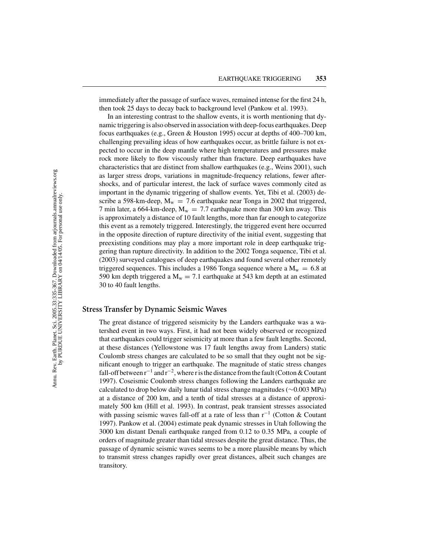immediately after the passage of surface waves, remained intense for the first 24 h, then took 25 days to decay back to background level (Pankow et al. 1993).

In an interesting contrast to the shallow events, it is worth mentioning that dynamic triggering is also observed in association with deep-focus earthquakes. Deep focus earthquakes (e.g., Green & Houston 1995) occur at depths of 400–700 km, challenging prevailing ideas of how earthquakes occur, as brittle failure is not expected to occur in the deep mantle where high temperatures and pressures make rock more likely to flow viscously rather than fracture. Deep earthquakes have characteristics that are distinct from shallow earthquakes (e.g., Weins 2001), such as larger stress drops, variations in magnitude-frequency relations, fewer aftershocks, and of particular interest, the lack of surface waves commonly cited as important in the dynamic triggering of shallow events. Yet, Tibi et al. (2003) describe a 598-km-deep,  $M_w = 7.6$  earthquake near Tonga in 2002 that triggered, 7 min later, a 664-km-deep,  $M_w = 7.7$  earthquake more than 300 km away. This is approximately a distance of 10 fault lengths, more than far enough to categorize this event as a remotely triggered. Interestingly, the triggered event here occurred in the opposite direction of rupture directivity of the initial event, suggesting that preexisting conditions may play a more important role in deep earthquake triggering than rupture directivity. In addition to the 2002 Tonga sequence, Tibi et al. (2003) surveyed catalogues of deep earthquakes and found several other remotely triggered sequences. This includes a 1986 Tonga sequence where a  $M_w = 6.8$  at 590 km depth triggered a  $M_w = 7.1$  earthquake at 543 km depth at an estimated 30 to 40 fault lengths.

## **Stress Transfer by Dynamic Seismic Waves**

The great distance of triggered seismicity by the Landers earthquake was a watershed event in two ways. First, it had not been widely observed or recognized that earthquakes could trigger seismicity at more than a few fault lengths. Second, at these distances (Yellowstone was 17 fault lengths away from Landers) static Coulomb stress changes are calculated to be so small that they ought not be significant enough to trigger an earthquake. The magnitude of static stress changes fall-off between  $r^{-1}$  and  $r^{-2}$ , where r is the distance from the fault (Cotton & Coutant 1997). Coseismic Coulomb stress changes following the Landers earthquake are calculated to drop below daily lunar tidal stress change magnitudes (∼0.003 MPa) at a distance of 200 km, and a tenth of tidal stresses at a distance of approximately 500 km (Hill et al. 1993). In contrast, peak transient stresses associated with passing seismic waves fall-off at a rate of less than r<sup>-1</sup> (Cotton & Coutant 1997). Pankow et al. (2004) estimate peak dynamic stresses in Utah following the 3000 km distant Denali earthquake ranged from 0.12 to 0.35 MPa, a couple of orders of magnitude greater than tidal stresses despite the great distance. Thus, the passage of dynamic seismic waves seems to be a more plausible means by which to transmit stress changes rapidly over great distances, albeit such changes are transitory.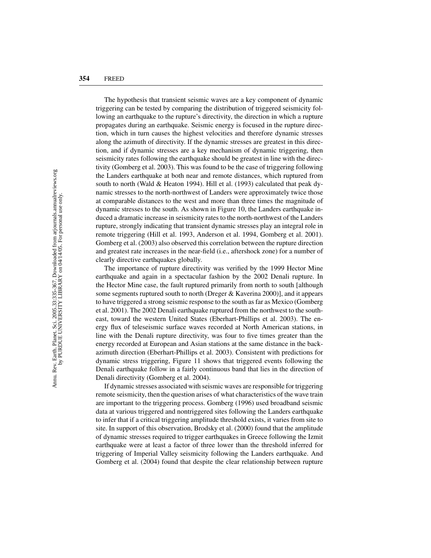The hypothesis that transient seismic waves are a key component of dynamic triggering can be tested by comparing the distribution of triggered seismicity following an earthquake to the rupture's directivity, the direction in which a rupture propagates during an earthquake. Seismic energy is focused in the rupture direction, which in turn causes the highest velocities and therefore dynamic stresses along the azimuth of directivity. If the dynamic stresses are greatest in this direction, and if dynamic stresses are a key mechanism of dynamic triggering, then seismicity rates following the earthquake should be greatest in line with the directivity (Gomberg et al. 2003). This was found to be the case of triggering following the Landers earthquake at both near and remote distances, which ruptured from south to north (Wald & Heaton 1994). Hill et al. (1993) calculated that peak dynamic stresses to the north-northwest of Landers were approximately twice those at comparable distances to the west and more than three times the magnitude of dynamic stresses to the south. As shown in Figure 10, the Landers earthquake induced a dramatic increase in seismicity rates to the north-northwest of the Landers rupture, strongly indicating that transient dynamic stresses play an integral role in remote triggering (Hill et al. 1993, Anderson et al. 1994, Gomberg et al. 2001). Gomberg et al. (2003) also observed this correlation between the rupture direction and greatest rate increases in the near-field (i.e., aftershock zone) for a number of clearly directive earthquakes globally.

The importance of rupture directivity was verified by the 1999 Hector Mine earthquake and again in a spectacular fashion by the 2002 Denali rupture. In the Hector Mine case, the fault ruptured primarily from north to south [although some segments ruptured south to north (Dreger & Kaverina 2000)], and it appears to have triggered a strong seismic response to the south as far as Mexico (Gomberg et al. 2001). The 2002 Denali earthquake ruptured from the northwest to the southeast, toward the western United States (Eberhart-Phillips et al. 2003). The energy flux of teleseismic surface waves recorded at North American stations, in line with the Denali rupture directivity, was four to five times greater than the energy recorded at European and Asian stations at the same distance in the backazimuth direction (Eberhart-Phillips et al. 2003). Consistent with predictions for dynamic stress triggering, Figure 11 shows that triggered events following the Denali earthquake follow in a fairly continuous band that lies in the direction of Denali directivity (Gomberg et al. 2004).

If dynamic stresses associated with seismic waves are responsible for triggering remote seismicity, then the question arises of what characteristics of the wave train are important to the triggering process. Gomberg (1996) used broadband seismic data at various triggered and nontriggered sites following the Landers earthquake to infer that if a critical triggering amplitude threshold exists, it varies from site to site. In support of this observation, Brodsky et al. (2000) found that the amplitude of dynamic stresses required to trigger earthquakes in Greece following the Izmit earthquake were at least a factor of three lower than the threshold inferred for triggering of Imperial Valley seismicity following the Landers earthquake. And Gomberg et al. (2004) found that despite the clear relationship between rupture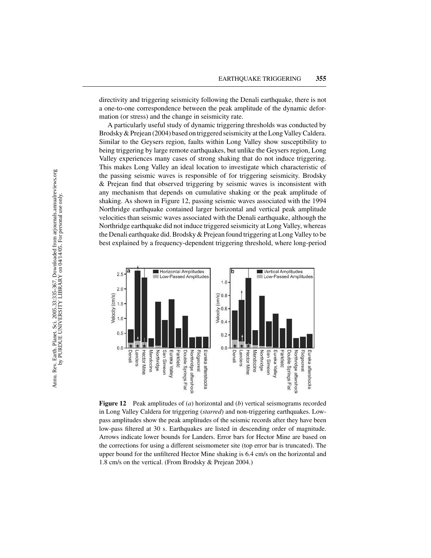directivity and triggering seismicity following the Denali earthquake, there is not a one-to-one correspondence between the peak amplitude of the dynamic deformation (or stress) and the change in seismicity rate.

A particularly useful study of dynamic triggering thresholds was conducted by Brodsky & Prejean (2004) based on triggered seismicity at the Long Valley Caldera. Similar to the Geysers region, faults within Long Valley show susceptibility to being triggering by large remote earthquakes, but unlike the Geysers region, Long Valley experiences many cases of strong shaking that do not induce triggering. This makes Long Valley an ideal location to investigate which characteristic of the passing seismic waves is responsible of for triggering seismicity. Brodsky & Prejean find that observed triggering by seismic waves is inconsistent with any mechanism that depends on cumulative shaking or the peak amplitude of shaking. As shown in Figure 12, passing seismic waves associated with the 1994 Northridge earthquake contained larger horizontal and vertical peak amplitude velocities than seismic waves associated with the Denali earthquake, although the Northridge earthquake did not induce triggered seismicity at Long Valley, whereas the Denali earthquake did. Brodsky & Prejean found triggering at Long Valley to be best explained by a frequency-dependent triggering threshold, where long-period



**Figure 12** Peak amplitudes of (*a*) horizontal and (*b*) vertical seismograms recorded in Long Valley Caldera for triggering (*starred*) and non-triggering earthquakes. Lowpass amplitudes show the peak amplitudes of the seismic records after they have been low-pass filtered at 30 s. Earthquakes are listed in descending order of magnitude. Arrows indicate lower bounds for Landers. Error bars for Hector Mine are based on the corrections for using a different seismometer site (top error bar is truncated). The upper bound for the unfiltered Hector Mine shaking is 6.4 cm/s on the horizontal and 1.8 cm/s on the vertical. (From Brodsky & Prejean 2004.)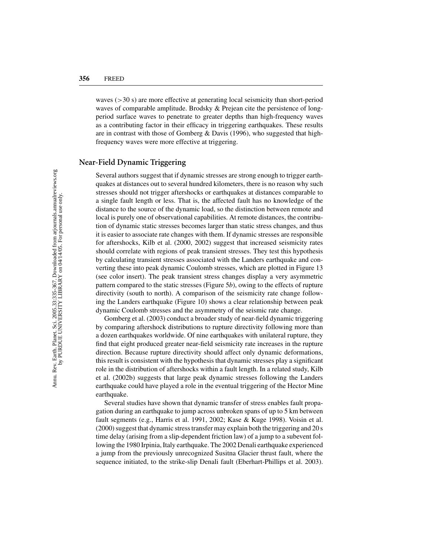waves  $(>30 \text{ s})$  are more effective at generating local seismicity than short-period waves of comparable amplitude. Brodsky & Prejean cite the persistence of longperiod surface waves to penetrate to greater depths than high-frequency waves as a contributing factor in their efficacy in triggering earthquakes. These results are in contrast with those of Gomberg & Davis (1996), who suggested that highfrequency waves were more effective at triggering.

# **Near-Field Dynamic Triggering**

Several authors suggest that if dynamic stresses are strong enough to trigger earthquakes at distances out to several hundred kilometers, there is no reason why such stresses should not trigger aftershocks or earthquakes at distances comparable to a single fault length or less. That is, the affected fault has no knowledge of the distance to the source of the dynamic load, so the distinction between remote and local is purely one of observational capabilities. At remote distances, the contribution of dynamic static stresses becomes larger than static stress changes, and thus it is easier to associate rate changes with them. If dynamic stresses are responsible for aftershocks, Kilb et al. (2000, 2002) suggest that increased seismicity rates should correlate with regions of peak transient stresses. They test this hypothesis by calculating transient stresses associated with the Landers earthquake and converting these into peak dynamic Coulomb stresses, which are plotted in Figure 13 (see color insert). The peak transient stress changes display a very asymmetric pattern compared to the static stresses (Figure 5*b*), owing to the effects of rupture directivity (south to north). A comparison of the seismicity rate change following the Landers earthquake (Figure 10) shows a clear relationship between peak dynamic Coulomb stresses and the asymmetry of the seismic rate change.

Gomberg et al. (2003) conduct a broader study of near-field dynamic triggering by comparing aftershock distributions to rupture directivity following more than a dozen earthquakes worldwide. Of nine earthquakes with unilateral rupture, they find that eight produced greater near-field seismicity rate increases in the rupture direction. Because rupture directivity should affect only dynamic deformations, this result is consistent with the hypothesis that dynamic stresses play a significant role in the distribution of aftershocks within a fault length. In a related study, Kilb et al. (2002b) suggests that large peak dynamic stresses following the Landers earthquake could have played a role in the eventual triggering of the Hector Mine earthquake.

Several studies have shown that dynamic transfer of stress enables fault propagation during an earthquake to jump across unbroken spans of up to 5 km between fault segments (e.g., Harris et al. 1991, 2002; Kase & Kuge 1998). Voisin et al. (2000) suggest that dynamic stress transfer may explain both the triggering and 20 s time delay (arising from a slip-dependent friction law) of a jump to a subevent following the 1980 Irpinia, Italy earthquake. The 2002 Denali earthquake experienced a jump from the previously unrecognized Susitna Glacier thrust fault, where the sequence initiated, to the strike-slip Denali fault (Eberhart-Phillips et al. 2003).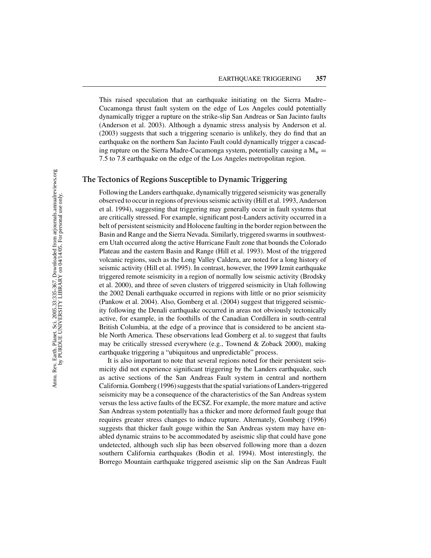This raised speculation that an earthquake initiating on the Sierra Madre– Cucamonga thrust fault system on the edge of Los Angeles could potentially dynamically trigger a rupture on the strike-slip San Andreas or San Jacinto faults (Anderson et al. 2003). Although a dynamic stress analysis by Anderson et al. (2003) suggests that such a triggering scenario is unlikely, they do find that an earthquake on the northern San Jacinto Fault could dynamically trigger a cascading rupture on the Sierra Madre-Cucamonga system, potentially causing a  $M_w =$ 7.5 to 7.8 earthquake on the edge of the Los Angeles metropolitan region.

# **The Tectonics of Regions Susceptible to Dynamic Triggering**

Following the Landers earthquake, dynamically triggered seismicity was generally observed to occur in regions of previous seismic activity (Hill et al. 1993, Anderson et al. 1994), suggesting that triggering may generally occur in fault systems that are critically stressed. For example, significant post-Landers activity occurred in a belt of persistent seismicity and Holocene faulting in the border region between the Basin and Range and the Sierra Nevada. Similarly, triggered swarms in southwestern Utah occurred along the active Hurricane Fault zone that bounds the Colorado Plateau and the eastern Basin and Range (Hill et al. 1993). Most of the triggered volcanic regions, such as the Long Valley Caldera, are noted for a long history of seismic activity (Hill et al. 1995). In contrast, however, the 1999 Izmit earthquake triggered remote seismicity in a region of normally low seismic activity (Brodsky et al. 2000), and three of seven clusters of triggered seismicity in Utah following the 2002 Denali earthquake occurred in regions with little or no prior seismicity (Pankow et al. 2004). Also, Gomberg et al. (2004) suggest that triggered seismicity following the Denali earthquake occurred in areas not obviously tectonically active, for example, in the foothills of the Canadian Cordillera in south-central British Columbia, at the edge of a province that is considered to be ancient stable North America. These observations lead Gomberg et al. to suggest that faults may be critically stressed everywhere (e.g., Townend  $&$  Zoback 2000), making earthquake triggering a "ubiquitous and unpredictable" process.

It is also important to note that several regions noted for their persistent seismicity did not experience significant triggering by the Landers earthquake, such as active sections of the San Andreas Fault system in central and northern California. Gomberg (1996) suggests that the spatial variations of Landers-triggered seismicity may be a consequence of the characteristics of the San Andreas system versus the less active faults of the ECSZ. For example, the more mature and active San Andreas system potentially has a thicker and more deformed fault gouge that requires greater stress changes to induce rupture. Alternately, Gomberg (1996) suggests that thicker fault gouge within the San Andreas system may have enabled dynamic strains to be accommodated by aseismic slip that could have gone undetected, although such slip has been observed following more than a dozen southern California earthquakes (Bodin et al. 1994). Most interestingly, the Borrego Mountain earthquake triggered aseismic slip on the San Andreas Fault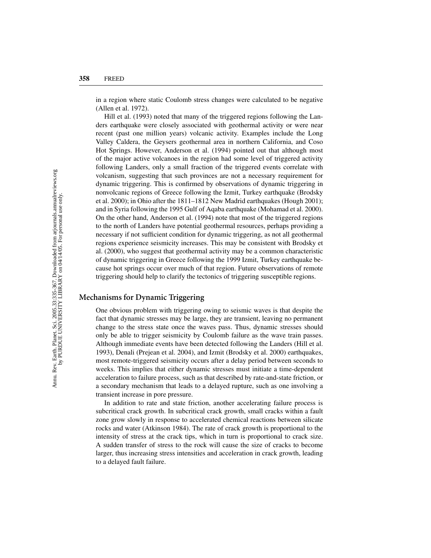in a region where static Coulomb stress changes were calculated to be negative (Allen et al. 1972).

Hill et al. (1993) noted that many of the triggered regions following the Landers earthquake were closely associated with geothermal activity or were near recent (past one million years) volcanic activity. Examples include the Long Valley Caldera, the Geysers geothermal area in northern California, and Coso Hot Springs. However, Anderson et al. (1994) pointed out that although most of the major active volcanoes in the region had some level of triggered activity following Landers, only a small fraction of the triggered events correlate with volcanism, suggesting that such provinces are not a necessary requirement for dynamic triggering. This is confirmed by observations of dynamic triggering in nonvolcanic regions of Greece following the Izmit, Turkey earthquake (Brodsky et al. 2000); in Ohio after the 1811–1812 New Madrid earthquakes (Hough 2001); and in Syria following the 1995 Gulf of Aqaba earthquake (Mohamad et al. 2000). On the other hand, Anderson et al. (1994) note that most of the triggered regions to the north of Landers have potential geothermal resources, perhaps providing a necessary if not sufficient condition for dynamic triggering, as not all geothermal regions experience seismicity increases. This may be consistent with Brodsky et al. (2000), who suggest that geothermal activity may be a common characteristic of dynamic triggering in Greece following the 1999 Izmit, Turkey earthquake because hot springs occur over much of that region. Future observations of remote triggering should help to clarify the tectonics of triggering susceptible regions.

#### **Mechanisms for Dynamic Triggering**

One obvious problem with triggering owing to seismic waves is that despite the fact that dynamic stresses may be large, they are transient, leaving no permanent change to the stress state once the waves pass. Thus, dynamic stresses should only be able to trigger seismicity by Coulomb failure as the wave train passes. Although immediate events have been detected following the Landers (Hill et al. 1993), Denali (Prejean et al. 2004), and Izmit (Brodsky et al. 2000) earthquakes, most remote-triggered seismicity occurs after a delay period between seconds to weeks. This implies that either dynamic stresses must initiate a time-dependent acceleration to failure process, such as that described by rate-and-state friction, or a secondary mechanism that leads to a delayed rupture, such as one involving a transient increase in pore pressure.

In addition to rate and state friction, another accelerating failure process is subcritical crack growth. In subcritical crack growth, small cracks within a fault zone grow slowly in response to accelerated chemical reactions between silicate rocks and water (Atkinson 1984). The rate of crack growth is proportional to the intensity of stress at the crack tips, which in turn is proportional to crack size. A sudden transfer of stress to the rock will cause the size of cracks to become larger, thus increasing stress intensities and acceleration in crack growth, leading to a delayed fault failure.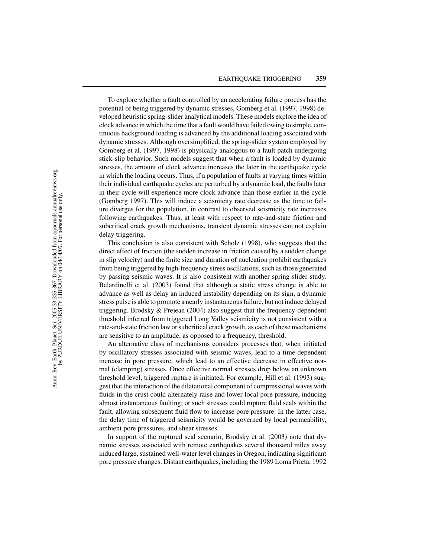To explore whether a fault controlled by an accelerating failure process has the potential of being triggered by dynamic stresses, Gomberg et al. (1997, 1998) developed heuristic spring-slider analytical models. These models explore the idea of clock advance in which the time that a fault would have failed owing to simple, continuous background loading is advanced by the additional loading associated with dynamic stresses. Although oversimplified, the spring-slider system employed by Gomberg et al. (1997, 1998) is physically analogous to a fault patch undergoing stick-slip behavior. Such models suggest that when a fault is loaded by dynamic stresses, the amount of clock advance increases the later in the earthquake cycle in which the loading occurs. Thus, if a population of faults at varying times within their individual earthquake cycles are perturbed by a dynamic load, the faults later in their cycle will experience more clock advance than those earlier in the cycle (Gomberg 1997). This will induce a seismicity rate decrease as the time to failure diverges for the population, in contrast to observed seismicity rate increases following earthquakes. Thus, at least with respect to rate-and-state friction and subcritical crack growth mechanisms, transient dynamic stresses can not explain delay triggering.

This conclusion is also consistent with Scholz (1998), who suggests that the direct effect of friction (the sudden increase in friction caused by a sudden change in slip velocity) and the finite size and duration of nucleation prohibit earthquakes from being triggered by high-frequency stress oscillations, such as those generated by passing seismic waves. It is also consistent with another spring-slider study. Belardinelli et al. (2003) found that although a static stress change is able to advance as well as delay an induced instability depending on its sign, a dynamic stress pulse is able to promote a nearly instantaneous failure, but not induce delayed triggering. Brodsky & Prejean (2004) also suggest that the frequency-dependent threshold inferred from triggered Long Valley seismicity is not consistent with a rate-and-state friction law or subcritical crack growth, as each of these mechanisms are sensitive to an amplitude, as opposed to a frequency, threshold.

An alternative class of mechanisms considers processes that, when initiated by oscillatory stresses associated with seismic waves, lead to a time-dependent increase in pore pressure, which lead to an effective decrease in effective normal (clamping) stresses. Once effective normal stresses drop below an unknown threshold level, triggered rupture is initiated. For example, Hill et al. (1993) suggest that the interaction of the dilatational component of compressional waves with fluids in the crust could alternately raise and lower local pore pressure, inducing almost instantaneous faulting; or such stresses could rupture fluid seals within the fault, allowing subsequent fluid flow to increase pore pressure. In the latter case, the delay time of triggered seismicity would be governed by local permeability, ambient pore pressures, and shear stresses.

In support of the ruptured seal scenario, Brodsky et al. (2003) note that dynamic stresses associated with remote earthquakes several thousand miles away induced large, sustained well-water level changes in Oregon, indicating significant pore pressure changes. Distant earthquakes, including the 1989 Loma Prieta, 1992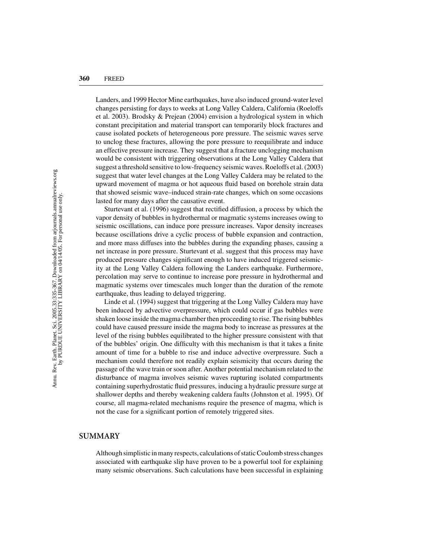Landers, and 1999 Hector Mine earthquakes, have also induced ground-water level changes persisting for days to weeks at Long Valley Caldera, California (Roeloffs et al. 2003). Brodsky & Prejean (2004) envision a hydrological system in which constant precipitation and material transport can temporarily block fractures and cause isolated pockets of heterogeneous pore pressure. The seismic waves serve to unclog these fractures, allowing the pore pressure to reequilibrate and induce an effective pressure increase. They suggest that a fracture unclogging mechanism would be consistent with triggering observations at the Long Valley Caldera that suggest a threshold sensitive to low-frequency seismic waves. Roeloffs et al. (2003) suggest that water level changes at the Long Valley Caldera may be related to the upward movement of magma or hot aqueous fluid based on borehole strain data that showed seismic wave–induced strain-rate changes, which on some occasions lasted for many days after the causative event.

Sturtevant et al. (1996) suggest that rectified diffusion, a process by which the vapor density of bubbles in hydrothermal or magmatic systems increases owing to seismic oscillations, can induce pore pressure increases. Vapor density increases because oscillations drive a cyclic process of bubble expansion and contraction, and more mass diffuses into the bubbles during the expanding phases, causing a net increase in pore pressure. Sturtevant et al. suggest that this process may have produced pressure changes significant enough to have induced triggered seismicity at the Long Valley Caldera following the Landers earthquake. Furthermore, percolation may serve to continue to increase pore pressure in hydrothermal and magmatic systems over timescales much longer than the duration of the remote earthquake, thus leading to delayed triggering.

Linde et al. (1994) suggest that triggering at the Long Valley Caldera may have been induced by advective overpressure, which could occur if gas bubbles were shaken loose inside the magma chamber then proceeding to rise. The rising bubbles could have caused pressure inside the magma body to increase as pressures at the level of the rising bubbles equilibrated to the higher pressure consistent with that of the bubbles' origin. One difficulty with this mechanism is that it takes a finite amount of time for a bubble to rise and induce advective overpressure. Such a mechanism could therefore not readily explain seismicity that occurs during the passage of the wave train or soon after. Another potential mechanism related to the disturbance of magma involves seismic waves rupturing isolated compartments containing superhydrostatic fluid pressures, inducing a hydraulic pressure surge at shallower depths and thereby weakening caldera faults (Johnston et al. 1995). Of course, all magma-related mechanisms require the presence of magma, which is not the case for a significant portion of remotely triggered sites.

#### **SUMMARY**

Although simplistic in many respects, calculations of static Coulomb stress changes associated with earthquake slip have proven to be a powerful tool for explaining many seismic observations. Such calculations have been successful in explaining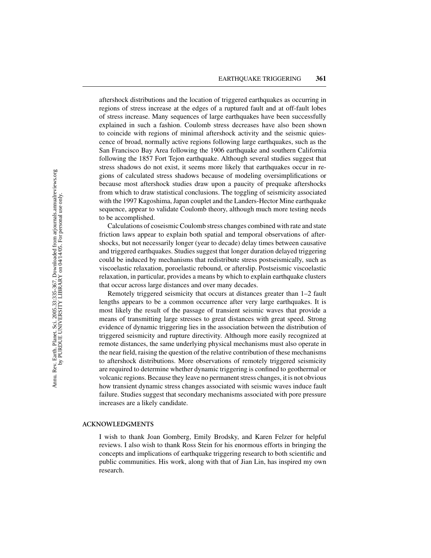aftershock distributions and the location of triggered earthquakes as occurring in regions of stress increase at the edges of a ruptured fault and at off-fault lobes of stress increase. Many sequences of large earthquakes have been successfully explained in such a fashion. Coulomb stress decreases have also been shown to coincide with regions of minimal aftershock activity and the seismic quiescence of broad, normally active regions following large earthquakes, such as the San Francisco Bay Area following the 1906 earthquake and southern California following the 1857 Fort Tejon earthquake. Although several studies suggest that stress shadows do not exist, it seems more likely that earthquakes occur in regions of calculated stress shadows because of modeling oversimplifications or because most aftershock studies draw upon a paucity of prequake aftershocks from which to draw statistical conclusions. The toggling of seismicity associated with the 1997 Kagoshima, Japan couplet and the Landers-Hector Mine earthquake sequence, appear to validate Coulomb theory, although much more testing needs to be accomplished.

Calculations of coseismic Coulomb stress changes combined with rate and state friction laws appear to explain both spatial and temporal observations of aftershocks, but not necessarily longer (year to decade) delay times between causative and triggered earthquakes. Studies suggest that longer duration delayed triggering could be induced by mechanisms that redistribute stress postseismically, such as viscoelastic relaxation, poroelastic rebound, or afterslip. Postseismic viscoelastic relaxation, in particular, provides a means by which to explain earthquake clusters that occur across large distances and over many decades.

Remotely triggered seismicity that occurs at distances greater than 1–2 fault lengths appears to be a common occurrence after very large earthquakes. It is most likely the result of the passage of transient seismic waves that provide a means of transmitting large stresses to great distances with great speed. Strong evidence of dynamic triggering lies in the association between the distribution of triggered seismicity and rupture directivity. Although more easily recognized at remote distances, the same underlying physical mechanisms must also operate in the near field, raising the question of the relative contribution of these mechanisms to aftershock distributions. More observations of remotely triggered seismicity are required to determine whether dynamic triggering is confined to geothermal or volcanic regions. Because they leave no permanent stress changes, it is not obvious how transient dynamic stress changes associated with seismic waves induce fault failure. Studies suggest that secondary mechanisms associated with pore pressure increases are a likely candidate.

#### **ACKNOWLEDGMENTS**

I wish to thank Joan Gomberg, Emily Brodsky, and Karen Felzer for helpful reviews. I also wish to thank Ross Stein for his enormous efforts in bringing the concepts and implications of earthquake triggering research to both scientific and public communities. His work, along with that of Jian Lin, has inspired my own research.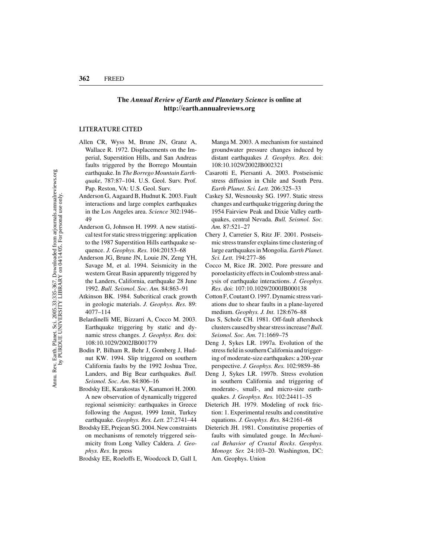#### **The** *Annual Review of Earth and Planetary Science* **is online at http://earth.annualreviews.org**

#### **LITERATURE CITED**

- Allen CR, Wyss M, Brune JN, Granz A, Wallace R. 1972. Displacements on the Imperial, Superstition Hills, and San Andreas faults triggered by the Borrego Mountain earthquake. In *The Borrego Mountain Earthquake*, 787:87–104. U.S. Geol. Surv. Prof. Pap. Reston, VA: U.S. Geol. Surv.
- Anderson G, Aagaard B, Hudnut K. 2003. Fault interactions and large complex earthquakes in the Los Angeles area. *Science* 302:1946– 49
- Anderson G, Johnson H. 1999. A new statistical test for static stress triggering: application to the 1987 Superstition Hills earthquake sequence. *J. Geophys. Res.* 104:20153–68
- Anderson JG, Brune JN, Louie JN, Zeng YH, Savage M, et al. 1994. Seismicity in the western Great Basin apparently triggered by the Landers, California, earthquake 28 June 1992. *Bull. Seismol. Soc. Am.* 84:863–91
- Atkinson BK. 1984. Subcritical crack growth in geologic materials. *J. Geophys. Res.* 89: 4077–114
- Belardinelli ME, Bizzarri A, Cocco M. 2003. Earthquake triggering by static and dynamic stress changes. *J. Geophys. Res.* doi: 108:10.1029/2002JB001779
- Bodin P, Bilham R, Behr J, Gomberg J, Hudnut KW. 1994. Slip triggered on southern California faults by the 1992 Joshua Tree, Landers, and Big Bear earthquakes. *Bull. Seismol. Soc. Am*. 84:806–16
- Brodsky EE, Karakostas V, Kanamori H. 2000. A new observation of dynamically triggered regional seismicity: earthquakes in Greece following the August, 1999 Izmit, Turkey earthquake. *Geophys. Res. Lett.* 27:2741–44
- Brodsky EE, Prejean SG. 2004. New constraints on mechanisms of remotely triggered seismicity from Long Valley Caldera. *J. Geophys. Res*. In press
- Brodsky EE, Roeloffs E, Woodcock D, Gall I,

Manga M. 2003. A mechanism for sustained groundwater pressure changes induced by distant earthquakes *J. Geophys. Res.* doi: 108:10.1029/2002JB002321

- Casarotti E, Piersanti A. 2003. Postseismic stress diffusion in Chile and South Peru. *Earth Planet. Sci. Lett.* 206:325–33
- Caskey SJ, Wesnousky SG. 1997. Static stress changes and earthquake triggering during the 1954 Fairview Peak and Dixie Valley earthquakes, central Nevada. *Bull. Seismol. Soc. Am.* 87:521–27
- Chery J, Carretier S, Ritz JF. 2001. Postseismic stress transfer explains time clustering of large earthquakes in Mongolia. *Earth Planet. Sci. Lett.* 194:277–86
- Cocco M, Rice JR. 2002. Pore pressure and poroelasticity effects in Coulomb stress analysis of earthquake interactions. *J. Geophys. Res.* doi: 107:10.1029/2000JB000138
- Cotton F, Coutant O. 1997. Dynamic stress variations due to shear faults in a plane-layered medium. *Geophys. J. Int.* 128:676–88
- Das S, Scholz CH. 1981. Off-fault aftershock clusters caused by shear stress increase? *Bull. Seismol. Soc. Am.* 71:1669–75
- Deng J, Sykes LR. 1997a. Evolution of the stress field in southern California and triggering of moderate-size earthquakes: a 200-year perspective. *J. Geophys. Res.* 102:9859–86
- Deng J, Sykes LR. 1997b. Stress evolution in southern California and triggering of moderate-, small-, and micro-size earthquakes. *J. Geophys. Res.* 102:24411–35
- Dieterich JH. 1979. Modeling of rock friction: 1. Experimental results and constitutive equations. *J. Geophys. Res.* 84:2161–68
- Dieterich JH. 1981. Constitutive properties of faults with simulated gouge. In *Mechanical Behavior of Crustal Rocks*. *Geophys. Monogr. Ser.* 24:103–20. Washington, DC: Am. Geophys. Union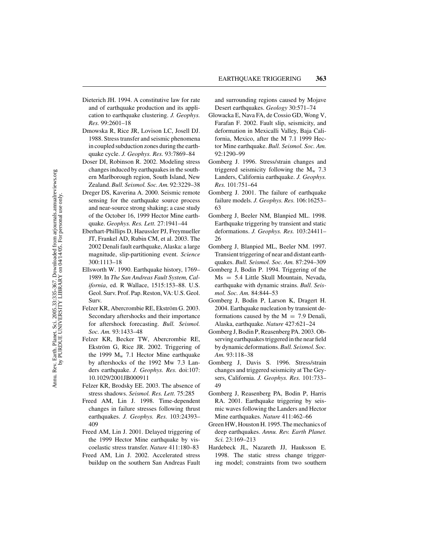- Dieterich JH. 1994. A constitutive law for rate and of earthquake production and its application to earthquake clustering. *J. Geophys. Res.* 99:2601–18
- Dmowska R, Rice JR, Lovison LC, Josell DJ. 1988. Stress transfer and seismic phenomena in coupled subduction zones during the earthquake cycle. *J. Geophys. Res.* 93:7869–84
- Doser DI, Robinson R. 2002. Modeling stress changes induced by earthquakes in the southern Marlborough region, South Island, New Zealand. *Bull. Seismol. Soc. Am.* 92:3229–38
- Dreger DS, Kaverina A. 2000. Seismic remote sensing for the earthquake source process and near-source strong shaking; a case study of the October 16, 1999 Hector Mine earthquake. *Geophys. Res. Lett.* 27:1941–44
- Eberhart-Phillips D, Haeussler PJ, Freymueller JT, Frankel AD, Rubin CM, et al. 2003. The 2002 Denali fault earthquake, Alaska: a large magnitude, slip-partitioning event. *Science* 300:1113–18
- Ellsworth W. 1990. Earthquake history, 1769– 1989. In *The San Andreas Fault System, California*, ed. R Wallace, 1515:153–88. U.S. Geol. Surv. Prof. Pap. Reston, VA: U.S. Geol. Surv.
- Felzer KR, Abercrombie RE, Ekström G. 2003. Secondary aftershocks and their importance for aftershock forecasting. *Bull. Seismol. Soc. Am.* 93:1433–48
- Felzer KR, Becker TW, Abercrombie RE, Ekström G, Rice JR. 2002. Triggering of the 1999  $M_w$  7.1 Hector Mine earthquake by aftershocks of the 1992 Mw 7.3 Landers earthquake. *J. Geophys. Res.* doi:107: 10.1029/2001JB000911
- Felzer KR, Brodsky EE. 2003. The absence of stress shadows. *Seismol. Res. Lett.* 75:285
- Freed AM, Lin J. 1998. Time-dependent changes in failure stresses following thrust earthquakes. *J. Geophys. Res.* 103:24393– 409
- Freed AM, Lin J. 2001. Delayed triggering of the 1999 Hector Mine earthquake by viscoelastic stress transfer. *Nature* 411:180–83
- Freed AM, Lin J. 2002. Accelerated stress buildup on the southern San Andreas Fault

and surrounding regions caused by Mojave Desert earthquakes. *Geology* 30:571–74

- Glowacka E, Nava FA, de Cossio GD, Wong V, Farafan F. 2002. Fault slip, seismicity, and deformation in Mexicalli Valley, Baja California, Mexico, after the M 7.1 1999 Hector Mine earthquake. *Bull. Seismol. Soc. Am.* 92:1290–99
- Gomberg J. 1996. Stress/strain changes and triggered seismicity following the  $M_{w}$  7.3 Landers, California earthquake. *J. Geophys. Res.* 101:751–64
- Gomberg J. 2001. The failure of earthquake failure models. *J. Geophys. Res.* 106:16253– 63
- Gomberg J, Beeler NM, Blanpied ML. 1998. Earthquake triggering by transient and static deformations. *J. Geophys. Res.* 103:24411– 26
- Gomberg J, Blanpied ML, Beeler NM. 1997. Transient triggering of near and distant earthquakes. *Bull. Seismol. Soc. Am.* 87:294–309
- Gomberg J, Bodin P. 1994. Triggering of the Ms = 5.4 Little Skull Mountain, Nevada, earthquake with dynamic strains. *Bull. Seismol. Soc. Am.* 84:844–53
- Gomberg J, Bodin P, Larson K, Dragert H. 2004. Earthquake nucleation by transient deformations caused by the  $M = 7.9$  Denali, Alaska, earthquake. *Nature* 427:621–24
- Gomberg J, Bodin P, Reasenberg PA. 2003. Observing earthquakes triggered in the near field by dynamic deformations.*Bull. Seismol. Soc. Am.* 93:118–38
- Gomberg J, Davis S. 1996. Stress/strain changes and triggered seismicity at The Geysers, California. *J. Geophys. Res.* 101:733– 49
- Gomberg J, Reasenberg PA, Bodin P, Harris RA. 2001. Earthquake triggering by seismic waves following the Landers and Hector Mine earthquakes. *Nature* 411:462–66
- Green HW, Houston H. 1995. The mechanics of deep earthquakes. *Annu. Rev. Earth Planet. Sci.* 23:169–213
- Hardebeck JL, Nazareth JJ, Hauksson E. 1998. The static stress change triggering model; constraints from two southern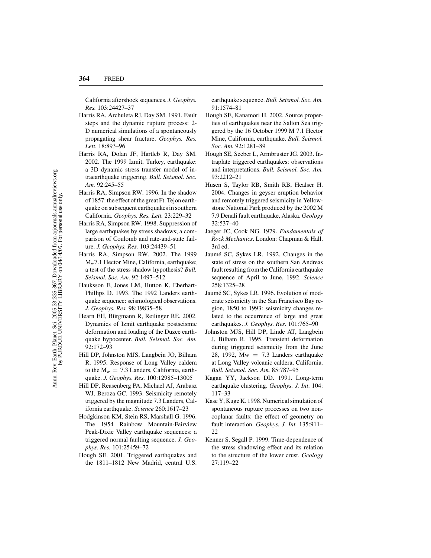California aftershock sequences. *J. Geophys. Res.* 103:24427–37

- Harris RA, Archuleta RJ, Day SM. 1991. Fault steps and the dynamic rupture process: 2- D numerical simulations of a spontaneously propagating shear fracture. *Geophys. Res. Lett*. 18:893–96
- Harris RA, Dolan JF, Hartleb R, Day SM. 2002. The 1999 Izmit, Turkey, earthquake: a 3D dynamic stress transfer model of intraearthquake triggering. *Bull. Seismol. Soc. Am.* 92:245–55
- Harris RA, Simpson RW. 1996. In the shadow of 1857: the effect of the great Ft. Tejon earthquake on subsequent earthquakes in southern California. *Geophys. Res. Lett.* 23:229–32
- Harris RA, Simpson RW. 1998. Suppression of large earthquakes by stress shadows; a comparison of Coulomb and rate-and-state failure. *J. Geophys. Res.* 103:24439–51
- Harris RA, Simpson RW. 2002. The 1999 Mw7.1 Hector Mine, California, earthquake; a test of the stress shadow hypothesis? *Bull. Seismol. Soc. Am.* 92:1497–512
- Hauksson E, Jones LM, Hutton K, Eberhart-Phillips D. 1993. The 1992 Landers earthquake sequence: seismological observations. *J. Geophys. Res.* 98:19835–58
- Hearn EH, Bürgmann R, Reilinger RE. 2002. Dynamics of Izmit earthquake postseismic deformation and loading of the Duzce earthquake hypocenter. *Bull. Seismol. Soc. Am.* 92:172–93
- Hill DP, Johnston MJS, Langbein JO, Bilham R. 1995. Response of Long Valley caldera to the  $M_w = 7.3$  Landers, California, earthquake. *J. Geophys. Res.* 100:12985–13005
- Hill DP, Reasenberg PA, Michael AJ, Arabasz WJ, Beroza GC. 1993. Seismicity remotely triggered by the magnitude 7.3 Landers, California earthquake. *Science* 260:1617–23
- Hodgkinson KM, Stein RS, Marshall G. 1996. The 1954 Rainbow Mountain-Fairview Peak-Dixie Valley earthquake sequences: a triggered normal faulting sequence. *J. Geophys. Res.* 101:25459–72
- Hough SE. 2001. Triggered earthquakes and the 1811–1812 New Madrid, central U.S.

earthquake sequence. *Bull. Seismol. Soc. Am.* 91:1574–81

- Hough SE, Kanamori H. 2002. Source properties of earthquakes near the Salton Sea triggered by the 16 October 1999 M 7.1 Hector Mine, California, earthquake. *Bull. Seismol. Soc. Am.* 92:1281–89
- Hough SE, Seeber L, Armbruster JG. 2003. Intraplate triggered earthquakes: observations and interpretations. *Bull. Seismol. Soc. Am.* 93:2212–21
- Husen S, Taylor RB, Smith RB, Healser H. 2004. Changes in geyser eruption behavior and remotely triggered seismicity in Yellowstone National Park produced by the 2002 M 7.9 Denali fault earthquake, Alaska. *Geology* 32:537–40
- Jaeger JC, Cook NG. 1979. *Fundamentals of Rock Mechanics*. London: Chapman & Hall. 3rd ed.
- Jaumé SC, Sykes LR. 1992. Changes in the state of stress on the southern San Andreas fault resulting from the California earthquake sequence of April to June, 1992. *Science* 258:1325–28
- Jaumé SC, Sykes LR. 1996. Evolution of moderate seismicity in the San Francisco Bay region, 1850 to 1993: seismicity changes related to the occurrence of large and great earthquakes. *J. Geophys. Res.* 101:765–90
- Johnston MJS, Hill DP, Linde AT, Langbein J, Bilham R. 1995. Transient deformation during triggered seismicity from the June 28, 1992,  $Mw = 7.3$  Landers earthquake at Long Valley volcanic caldera, California. *Bull. Seismol. Soc. Am.* 85:787–95
- Kagan YY, Jackson DD. 1991. Long-term earthquake clustering. *Geophys. J. Int*. 104: 117–33
- Kase Y, Kuge K. 1998. Numerical simulation of spontaneous rupture processes on two noncoplanar faults: the effect of geometry on fault interaction. *Geophys. J. Int.* 135:911– 22
- Kenner S, Segall P. 1999. Time-dependence of the stress shadowing effect and its relation to the structure of the lower crust. *Geology* 27:119–22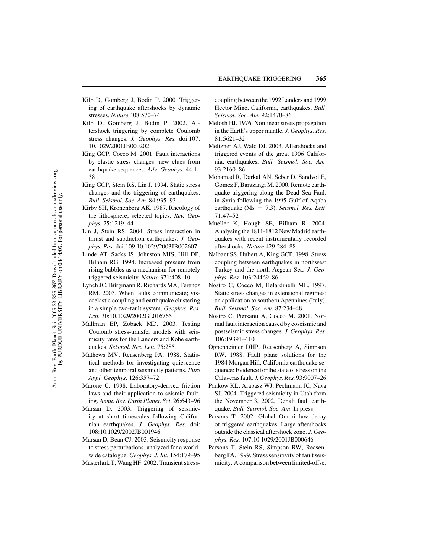- Kilb D, Gomberg J, Bodin P. 2000. Triggering of earthquake aftershocks by dynamic stresses. *Nature* 408:570–74
- Kilb D, Gomberg J, Bodin P. 2002. Aftershock triggering by complete Coulomb stress changes. *J. Geophys. Res.* doi:107: 10.1029/2001JB000202
- King GCP, Cocco M. 2001. Fault interactions by elastic stress changes: new clues from earthquake sequences. *Adv. Geophys.* 44:1– 38
- King GCP, Stein RS, Lin J. 1994. Static stress changes and the triggering of earthquakes. *Bull. Seismol. Soc. Am.* 84:935–93
- Kirby SH, Kronenberg AK. 1987. Rheology of the lithosphere; selected topics. *Rev. Geophys.* 25:1219–44
- Lin J, Stein RS. 2004. Stress interaction in thrust and subduction earthquakes. *J. Geophys. Res.* doi:109:10.1029/2003JB002607
- Linde AT, Sacks IS, Johnston MJS, Hill DP, Bilham RG. 1994. Increased pressure from rising bubbles as a mechanism for remotely triggered seismicity. *Nature* 371:408–10
- Lynch JC, Bürgmann R, Richards MA, Ferencz RM. 2003. When faults communicate; viscoelastic coupling and earthquake clustering in a simple two-fault system. *Geophys. Res. Lett.* 30:10.1029/2002GL016765
- Mallman EP, Zoback MD. 2003. Testing Coulomb stress-transfer models with seismicity rates for the Landers and Kobe earthquakes. *Seismol. Res. Lett.* 75:285
- Mathews MV, Reasenberg PA. 1988. Statistical methods for investigating quiescence and other temporal seismicity patterns. *Pure Appl. Geophys*. 126:357–72
- Marone C. 1998. Laboratory-derived friction laws and their application to seismic faulting. *Annu. Rev. Earth Planet. Sci*. 26:643–96
- Marsan D. 2003. Triggering of seismicity at short timescales following Californian earthquakes. *J. Geophys. Res*. doi: 108:10.1029/2002JB001946
- Marsan D, Bean CJ. 2003. Seismicity response to stress perturbations, analyzed for a worldwide catalogue. *Geophys. J. Int.* 154:179–95
- Masterlark T, Wang HF. 2002. Transient stress-

coupling between the 1992 Landers and 1999 Hector Mine, California, earthquakes. *Bull. Seismol. Soc. Am.* 92:1470–86

- Melosh HJ. 1976. Nonlinear stress propagation in the Earth's upper mantle. *J. Geophys. Res*. 81:5621–32
- Meltzner AJ, Wald DJ. 2003. Aftershocks and triggered events of the great 1906 California, earthquakes. *Bull. Seismol. Soc. Am.* 93:2160–86
- Mohamad R, Darkal AN, Seber D, Sandvol E, Gomez F, Barazangi M. 2000. Remote earthquake triggering along the Dead Sea Fault in Syria following the 1995 Gulf of Aqaba earthquake (Ms = 7.3). *Seismol. Res. Lett.* 71:47–52
- Mueller K, Hough SE, Bilham R. 2004. Analysing the 1811-1812 New Madrid earthquakes with recent instrumentally recorded aftershocks. *Nature* 429:284–88
- Nalbant SS, Hubert A, King GCP. 1998. Stress coupling between earthquakes in northwest Turkey and the north Aegean Sea. *J. Geophys. Res.* 103:24469–86
- Nostro C, Cocco M, Belardinelli ME. 1997. Static stress changes in extensional regimes: an application to southern Apennines (Italy). *Bull. Seismol. Soc. Am.* 87:234–48
- Nostro C, Piersanti A, Cocco M. 2001. Normal fault interaction caused by coseismic and postseismic stress changes. *J. Geophys. Res.* 106:19391–410
- Oppenheimer DHP, Reasenberg A, Simpson RW. 1988. Fault plane solutions for the 1984 Morgan Hill, California earthquake sequence: Evidence for the state of stress on the Calaveras fault. *J. Geophys. Res.* 93:9007–26
- Pankow KL, Arabasz WJ, Pechmann JC, Nava SJ. 2004. Triggered seismicity in Utah from the November 3, 2002, Denali fault earthquake. *Bull. Seismol. Soc. Am*. In press
- Parsons T. 2002. Global Omori law decay of triggered earthquakes: Large aftershocks outside the classical aftershock zone. *J. Geophys. Res.* 107:10.1029/2001JB000646
- Parsons T, Stein RS, Simpson RW, Reasenberg PA. 1999. Stress sensitivity of fault seismicity: A comparison between limited-offset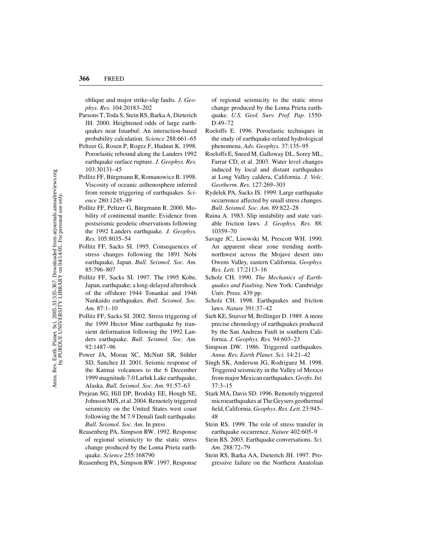oblique and major strike-slip faults. *J. Geophys. Res.* 104:20183–202

- Parsons T, Toda S, Stein RS, Barka A, Dieterich JH. 2000. Heightened odds of large earthquakes near Istanbul: An interaction-based probability calculation. *Science* 288:661–65
- Peltzer G, Rosen P, Rogez F, Hudnut K. 1998. Poroelastic rebound along the Landers 1992 earthquake surface rupture. *J. Geophys. Res.* 103:30131–45
- Pollitz FF, Bürgmann R, Romanowicz B. 1998. Viscosity of oceanic asthenosphere inferred from remote triggering of earthquakes. *Science* 280:1245–49
- Pollitz FF, Peltzer G, Bürgmann R. 2000. Mobility of continental mantle: Evidence from postseismic geodetic observations following the 1992 Landers earthquake. *J. Geophys. Res.* 105:8035–54
- Pollitz FF, Sacks SI. 1995. Consequences of stress changes following the 1891 Nobi earthquake, Japan. *Bull. Seismol. Soc. Am.* 85:796–807
- Pollitz FF, Sacks SI. 1997. The 1995 Kobe, Japan, earthquake; a long-delayed aftershock of the offshore 1944 Tonankai and 1946 Nankaido earthquakes. *Bull. Seismol. Soc. Am.* 87:1–10
- Pollitz FF, Sacks SI. 2002. Stress triggering of the 1999 Hector Mine earthquake by transient deformation following the 1992 Landers earthquake. *Bull. Seismol. Soc. Am.* 92:1487–96
- Power JA, Moran SC, McNutt SR, Stihler SD, Sanchez JJ. 2001. Seismic response of the Katmai volcanoes to the 6 December 1999 magnitude 7.0 Larluk Lake earthquake, Alaska. *Bull. Seismol. Soc. Am.* 91:57–63
- Prejean SG, Hill DP, Brodsky EE, Hough SE, Johnson MJS, et al. 2004. Remotely triggered seismicity on the United States west coast following the M 7.9 Denali fault earthquake. *Bull. Seismol. Soc. Am*. In press
- Reasenberg PA, Simpson RW. 1992. Response of regional seismicity to the static stress change produced by the Loma Prieta earthquake. *Science* 255:168790
- Reasenberg PA, Simpson RW. 1997. Response

of regional seismicity to the static stress change produced by the Loma Prieta earthquake. *U.S. Geol. Surv. Prof. Pap.* 1550- D:49–72

- Roeloffs E. 1996. Poroelastic techniques in the study of earthquake-related hydrological phenomena. *Adv. Geophys.* 37:135–95
- Roeloffs E, Sneed M, Galloway DL, Sorey ML, Farrar CD, et al. 2003. Water level changes induced by local and distant earthquakes at Long Valley caldera, California. *J. Volc. Geotherm. Res.* 127:269–303
- Rydelek PA, Sacks IS. 1999. Large earthquake occurrence affected by small stress changes. *Bull. Seismol. Soc. Am.* 89:822–28
- Ruina A. 1983. Slip instability and state variable friction laws. *J. Geophys. Res.* 88: 10359–70
- Savage JC, Lisowski M, Prescott WH. 1990. An apparent shear zone trending northnorthwest across the Mojave desert into Owens Valley, eastern California. *Geophys. Res. Lett.* 17:2113–16
- Scholz CH. 1990. *The Mechanics of Earthquakes and Faulting*. New York: Cambridge Univ. Press. 439 pp.
- Scholz CH. 1998. Earthquakes and friction laws. *Nature* 391:37–42
- Sieh KE, Stuiver M, Brillinger D. 1989. A more precise chronology of earthquakes produced by the San Andreas Fault in southern California. *J. Geophys. Res.* 94:603–23
- Simpson DW. 1986. Triggered earthquakes. *Annu. Rev. Earth Planet. Sci.* 14:21–42
- Singh SK, Anderson JG, Rodriguez M. 1998. Triggered seismicity in the Valley of Mexico from major Mexican earthquakes.*Geofis. Int.* 37:3–15
- Stark MA, Davis SD. 1996. Remotely triggered microearthquakes at The Geysers geothermal field, California. *Geophys. Res. Lett.* 23:945– 48
- Stein RS. 1999. The role of stress transfer in earthquake occurrence. *Nature* 402:605–9
- Stein RS. 2003. Earthquake conversations. *Sci. Am.* 288:72–79
- Stein RS, Barka AA, Dieterich JH. 1997. Progressive failure on the Northern Anatolian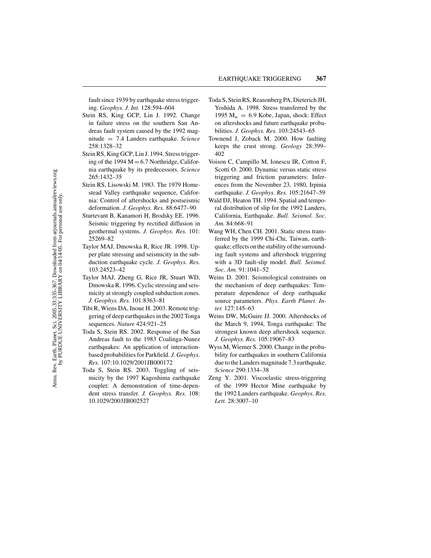fault since 1939 by earthquake stress triggering. *Geophys. J. Int.* 128:594–604

- Stein RS, King GCP, Lin J. 1992. Change in failure stress on the southern San Andreas fault system caused by the 1992 magnitude = 7.4 Landers earthquake. *Science* 258:1328–32
- Stein RS, King GCP, Lin J. 1994. Stress triggering of the 1994  $M = 6.7$  Northridge, California earthquake by its predecessors. *Science* 265:1432–35
- Stein RS, Lisowski M. 1983. The 1979 Homestead Valley earthquake sequence, California: Control of aftershocks and postseismic deformation. *J. Geophys. Res.* 88:6477–90
- Sturtevant B, Kanamori H, Brodsky EE. 1996. Seismic triggering by rectified diffusion in geothermal systems. *J. Geophys. Res.* 101: 25269–82
- Taylor MAJ, Dmowska R, Rice JR. 1998. Upper plate stressing and seismicity in the subduction earthquake cycle. *J. Geophys. Res.* 103:24523–42
- Taylor MAJ, Zheng G, Rice JR, Stuart WD, Dmowska R. 1996. Cyclic stressing and seismicity at strongly coupled subduction zones. *J. Geophys. Res.* 101:8363–81
- Tibi R, Wiens DA, Inoue H. 2003. Remote triggering of deep earthquakes in the 2002 Tonga sequences. *Nature* 424:921–25
- Toda S, Stein RS. 2002. Response of the San Andreas fault to the 1983 Coalinga-Nunez earthquakes: An application of interactionbased probabilities for Parkfield. *J. Geophys. Res.* 107:10.1029/2001JB000172
- Toda S, Stein RS. 2003. Toggling of seismicity by the 1997 Kagoshima earthquake couplet: A demonstration of time-dependent stress transfer. *J. Geophys. Res.* 108: 10.1029/2003JB002527
- Toda S, Stein RS, Reasonberg PA, Dieterich JH, Yoshida A. 1998. Stress transferred by the 1995  $M_w = 6.9$  Kobe, Japan, shock: Effect on aftershocks and future earthquake probabilities. *J. Geophys. Res.* 103:24543–65
- Townend J, Zoback M. 2000. How faulting keeps the crust strong. *Geology* 28:399– 402
- Voison C, Campillo M, Ionescu IR, Cotton F, Scotti O. 2000. Dynamic versus static stress triggering and friction parameters: Inferences from the November 23, 1980, Irpinia earthquake. *J. Geophys. Res.* 105:21647–59
- Wald DJ, Heaton TH. 1994. Spatial and temporal distribution of slip for the 1992 Landers, California, Earthquake. *Bull. Seismol. Soc. Am.* 84:668–91
- Wang WH, Chen CH. 2001. Static stress transferred by the 1999 Chi-Chi, Taiwan, earthquake; effects on the stability of the surrounding fault systems and aftershock triggering with a 3D fault-slip model. *Bull. Seismol. Soc. Am.* 91:1041–52
- Weins D. 2001. Seismological constraints on the mechanism of deep earthquakes: Temperature dependence of deep earthquake source parameters. *Phys. Earth Planet. Inter.* 127:145–63
- Weins DW, McGuire JJ. 2000. Aftershocks of the March 9, 1994, Tonga earthquake: The strongest known deep aftershock sequence. *J. Geophys. Res.* 105:19067–83
- Wyss M, Wiemer S. 2000. Change in the probability for earthquakes in southern California due to the Landers magnitude 7.3 earthquake. *Science* 290:1334–38
- Zeng Y. 2001. Viscoelastic stress-triggering of the 1999 Hector Mine earthquake by the 1992 Landers earthquake. *Geophys. Res. Lett.* 28:3007–10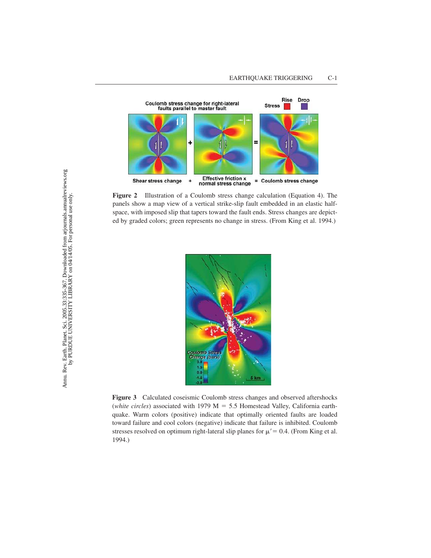

**Figure 2** Illustration of a Coulomb stress change calculation (Equation 4). The panels show a map view of a vertical strike-slip fault embedded in an elastic halfspace, with imposed slip that tapers toward the fault ends. Stress changes are depicted by graded colors; green represents no change in stress. (From King et al. 1994.)



**Figure 3** Calculated coseismic Coulomb stress changes and observed aftershocks (*white circles*) associated with 1979 M = 5.5 Homestead Valley, California earthquake. Warm colors (positive) indicate that optimally oriented faults are loaded toward failure and cool colors (negative) indicate that failure is inhibited. Coulomb stresses resolved on optimum right-lateral slip planes for  $\mu' = 0.4$ . (From King et al. 1994.)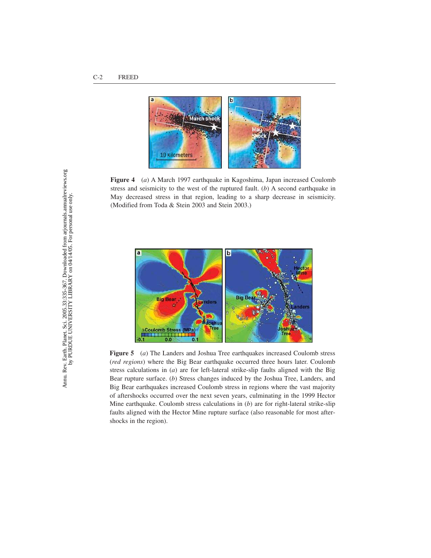

**Figure 4** (*a*) A March 1997 earthquake in Kagoshima, Japan increased Coulomb stress and seismicity to the west of the ruptured fault. (*b*) A second earthquake in May decreased stress in that region, leading to a sharp decrease in seismicity. (Modified from Toda & Stein 2003 and Stein 2003.)



**Figure 5** (*a*) The Landers and Joshua Tree earthquakes increased Coulomb stress (*red regions*) where the Big Bear earthquake occurred three hours later. Coulomb stress calculations in (*a*) are for left-lateral strike-slip faults aligned with the Big Bear rupture surface. (*b*) Stress changes induced by the Joshua Tree, Landers, and Big Bear earthquakes increased Coulomb stress in regions where the vast majority of aftershocks occurred over the next seven years, culminating in the 1999 Hector Mine earthquake. Coulomb stress calculations in (*b*) are for right-lateral strike-slip faults aligned with the Hector Mine rupture surface (also reasonable for most aftershocks in the region).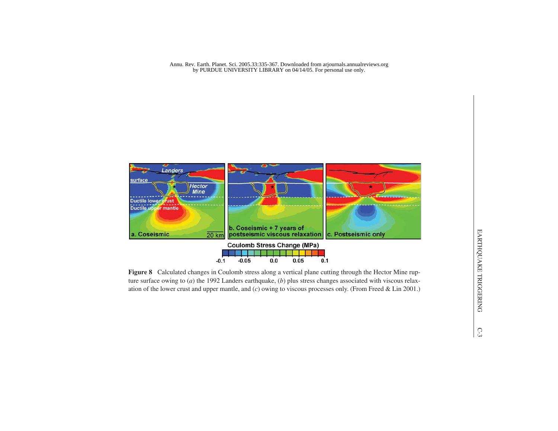Annu. Rev. Earth. Planet. Sci. 2005.33:335-367. Downloaded from arjournals.annualreviews.org by PURDUE UNIVERSITY LIBRARY on 04/14/05. For personal use only.

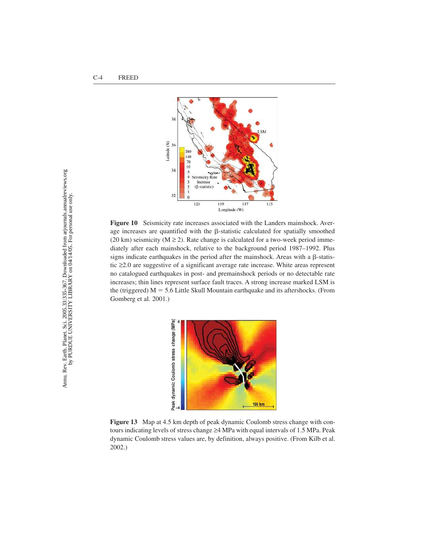

**Figure 10** Seismicity rate increases associated with the Landers mainshock. Average increases are quantified with the  $\beta$ -statistic calculated for spatially smoothed (20 km) seismicity ( $M \ge 2$ ). Rate change is calculated for a two-week period immediately after each mainshock, relative to the background period 1987–1992. Plus signs indicate earthquakes in the period after the mainshock. Areas with a  $\beta$ -statistic ≥2.0 are suggestive of a significant average rate increase. White areas represent no catalogued earthquakes in post- and premainshock periods or no detectable rate increases; thin lines represent surface fault traces. A strong increase marked LSM is the (triggered)  $M = 5.6$  Little Skull Mountain earthquake and its aftershocks. (From Gomberg et al. 2001.)



**Figure 13** Map at 4.5 km depth of peak dynamic Coulomb stress change with contours indicating levels of stress change ≥4 MPa with equal intervals of 1.5 MPa. Peak dynamic Coulomb stress values are, by definition, always positive. (From Kilb et al. 2002.)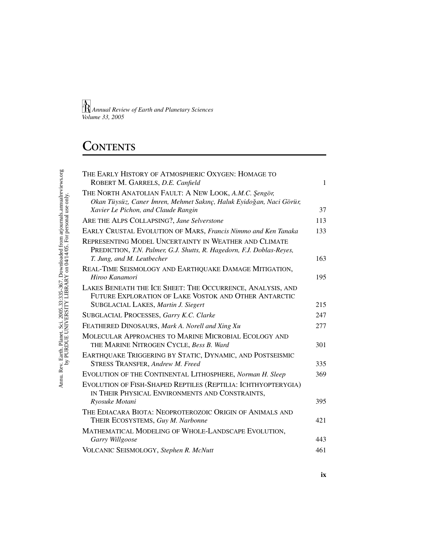# **CONTENTS**

| THE EARLY HISTORY OF ATMOSPHERIC OXYGEN: HOMAGE TO<br>ROBERT M. GARRELS, D.E. Canfield                                         | $\mathbf{1}$ |
|--------------------------------------------------------------------------------------------------------------------------------|--------------|
| THE NORTH ANATOLIAN FAULT: A NEW LOOK, A.M.C. Sengör,<br>Okan Tüysüz, Caner İmren, Mehmet Sakınç, Haluk Eyidoğan, Naci Görür,  |              |
| Xavier Le Pichon, and Claude Rangin                                                                                            | 37           |
| ARE THE ALPS COLLAPSING?, Jane Selverstone                                                                                     | 113          |
| EARLY CRUSTAL EVOLUTION OF MARS, Francis Nimmo and Ken Tanaka                                                                  | 133          |
| REPRESENTING MODEL UNCERTAINTY IN WEATHER AND CLIMATE<br>PREDICTION, T.N. Palmer, G.J. Shutts, R. Hagedorn, F.J. Doblas-Reyes, |              |
| T. Jung, and M. Leutbecher                                                                                                     | 163          |
| REAL-TIME SEISMOLOGY AND EARTHQUAKE DAMAGE MITIGATION,<br>Hiroo Kanamori                                                       | 195          |
| LAKES BENEATH THE ICE SHEET: THE OCCURRENCE, ANALYSIS, AND<br>FUTURE EXPLORATION OF LAKE VOSTOK AND OTHER ANTARCTIC            |              |
| SUBGLACIAL LAKES, Martin J. Siegert                                                                                            | 215          |
| SUBGLACIAL PROCESSES, Garry K.C. Clarke                                                                                        | 247          |
| FEATHERED DINOSAURS, Mark A. Norell and Xing Xu                                                                                | 277          |
| MOLECULAR APPROACHES TO MARINE MICROBIAL ECOLOGY AND<br>THE MARINE NITROGEN CYCLE, Bess B. Ward                                | 301          |
| EARTHQUAKE TRIGGERING BY STATIC, DYNAMIC, AND POSTSEISMIC<br>STRESS TRANSFER, Andrew M. Freed                                  | 335          |
| EVOLUTION OF THE CONTINENTAL LITHOSPHERE, Norman H. Sleep                                                                      | 369          |
| EVOLUTION OF FISH-SHAPED REPTILES (REPTILIA: ICHTHYOPTERYGIA)<br>IN THEIR PHYSICAL ENVIRONMENTS AND CONSTRAINTS,               |              |
| Ryosuke Motani                                                                                                                 | 395          |
| THE EDIACARA BIOTA: NEOPROTEROZOIC ORIGIN OF ANIMALS AND<br>THEIR ECOSYSTEMS, Guy M. Narbonne                                  | 421          |
| MATHEMATICAL MODELING OF WHOLE-LANDSCAPE EVOLUTION,<br>Garry Willgoose                                                         | 443          |
| VOLCANIC SEISMOLOGY, Stephen R. McNutt                                                                                         | 461          |